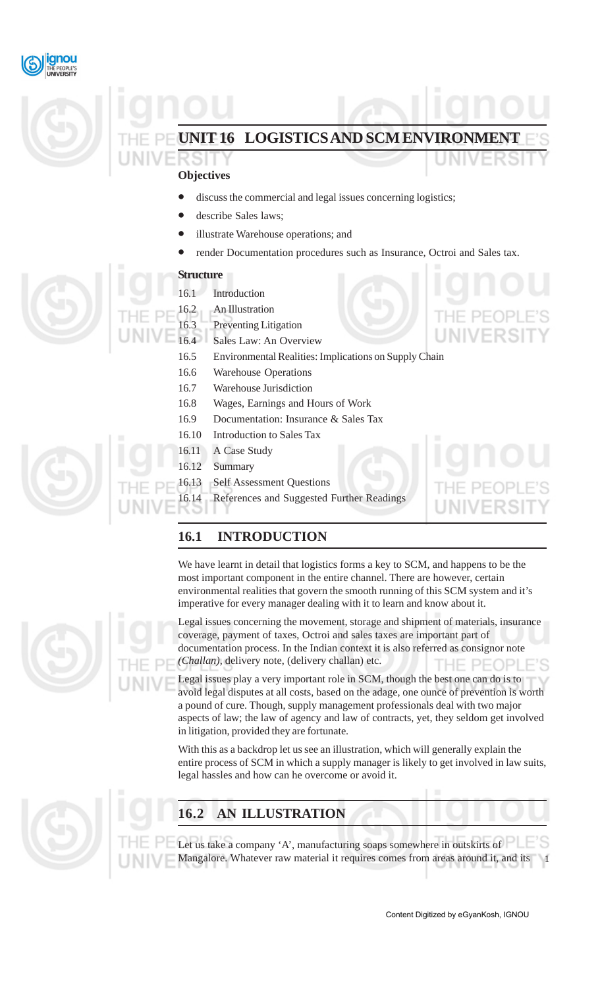



# **UIT 16 LOGISTICS AND SCM ENVIRONMENT**

### **Objectives**

- discuss the commercial and legal issues concerning logistics;
- describe Sales laws;
- illustrate Warehouse operations; and
- render Documentation procedures such as Insurance, Octroi and Sales tax.

#### **Structure**

- 16.1 Introduction
- 16.2 An Illustration
- 16.3 Preventing Litigation
- 16.4 Sales Law: An Overview
- 16.5 Environmental Realities: Implications on Supply Chain
- 16.6 Warehouse Operations
- 16.7 Warehouse Jurisdiction
- 16.8 Wages, Earnings and Hours of Work
- 16.9 Documentation: Insurance & Sales Tax
- 16.10 Introduction to Sales Tax
- 16.11 A Case Study
- 16.12 Summary
- 16.13 Self Assessment Questions
- 16.14 References and Suggested Further Readings

## **16.1 INTRODUCTION**

We have learnt in detail that logistics forms a key to SCM, and happens to be the most important component in the entire channel. There are however, certain environmental realities that govern the smooth running of this SCM system and it's imperative for every manager dealing with it to learn and know about it.

Legal issues concerning the movement, storage and shipment of materials, insurance coverage, payment of taxes, Octroi and sales taxes are important part of documentation process. In the Indian context it is also referred as consignor note *(Challan),* delivery note, (delivery challan) etc.

Legal issues play a very important role in SCM, though the best one can do is to avoid legal disputes at all costs, based on the adage, one ounce of prevention is worth a pound of cure. Though, supply management professionals deal with two major aspects of law; the law of agency and law of contracts, yet, they seldom get involved in litigation, provided they are fortunate.

With this as a backdrop let us see an illustration, which will generally explain the entire process of SCM in which a supply manager is likely to get involved in law suits, legal hassles and how can he overcome or avoid it.



## **16.2 AN ILLUSTRATION**

1 Let us take a company 'A', manufacturing soaps somewhere in outskirts of Mangalore. Whatever raw material it requires comes from areas around it, and its

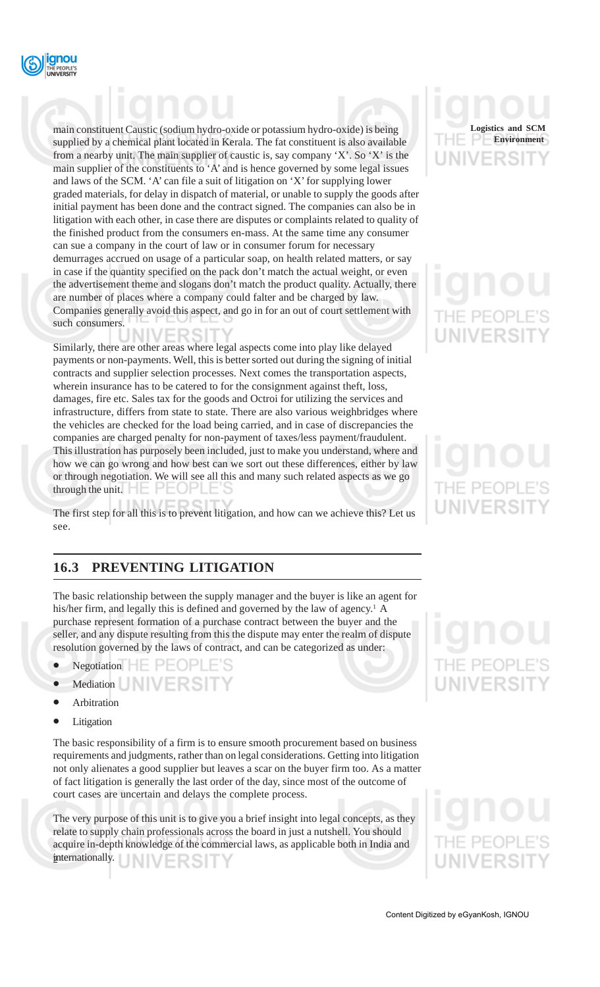

main constituent Caustic (sodium hydro-oxide or potassium hydro-oxide) is being supplied by a chemical plant located in Kerala. The fat constituent is also available from a nearby unit. The main supplier of caustic is, say company 'X'. So 'X' is the main supplier of the constituents to 'A' and is hence governed by some legal issues and laws of the SCM. 'A' can file a suit of litigation on 'X' for supplying lower graded materials, for delay in dispatch of material, or unable to supply the goods after initial payment has been done and the contract signed. The companies can also be in litigation with each other, in case there are disputes or complaints related to quality of the finished product from the consumers en-mass. At the same time any consumer can sue a company in the court of law or in consumer forum for necessary demurrages accrued on usage of a particular soap, on health related matters, or say in case if the quantity specified on the pack don't match the actual weight, or even the advertisement theme and slogans don't match the product quality. Actually, there are number of places where a company could falter and be charged by law. Companies generally avoid this aspect, and go in for an out of court settlement with such consumers.

Similarly, there are other areas where legal aspects come into play like delayed payments or non-payments. Well, this is better sorted out during the signing of initial contracts and supplier selection processes. Next comes the transportation aspects, wherein insurance has to be catered to for the consignment against theft, loss, damages, fire etc. Sales tax for the goods and Octroi for utilizing the services and infrastructure, differs from state to state. There are also various weighbridges where the vehicles are checked for the load being carried, and in case of discrepancies the companies are charged penalty for non-payment of taxes/less payment/fraudulent. This illustration has purposely been included, just to make you understand, where and how we can go wrong and how best can we sort out these differences, either by law or through negotiation. We will see all this and many such related aspects as we go through the unit.  $\Box \Box \Box \Box$ 

The first step for all this is to prevent litigation, and how can we achieve this? Let us see.

## **16.3 PREVENTING LITIGATION**

The basic relationship between the supply manager and the buyer is like an agent for his/her firm, and legally this is defined and governed by the law of agency.<sup>1</sup> A purchase represent formation of a purchase contract between the buyer and the seller, and any dispute resulting from this the dispute may enter the realm of dispute resolution governed by the laws of contract, and can be categorized as under:

- Negotiation  $-\blacksquare$
- Mediation **Additional Mediation**
- **Arbitration**
- **Litigation**

The basic responsibility of a firm is to ensure smooth procurement based on business requirements and judgments, rather than on legal considerations. Getting into litigation not only alienates a good supplier but leaves a scar on the buyer firm too. As a matter of fact litigation is generally the last order of the day, since most of the outcome of court cases are uncertain and delays the complete process.

The very purpose of this unit is to give you a brief insight into legal concepts, as they relate to supply chain professionals across the board in just a nutshell. You should acquire in-depth knowledge of the commercial laws, as applicable both in India and internationally. ERSI

# **Logistics and SCM Environment**-RS

# HE PEOP **UNIVERSIT**

# IE PEOP VERSIT

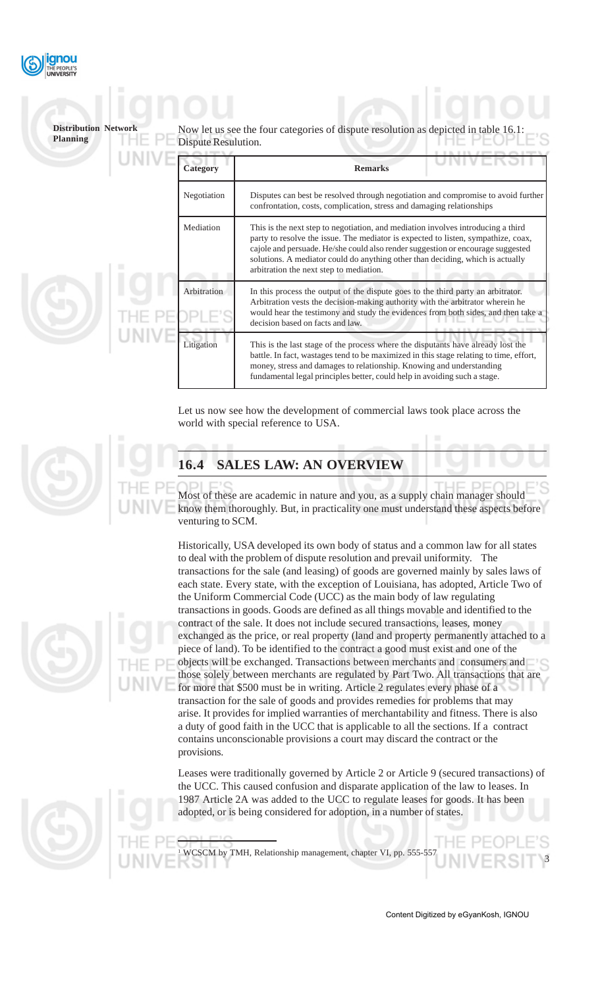

### Now let us see the four categories of dispute resolution as depicted in Dispute Resulution. **Category Remarks** Negotiation Disputes can best be resolved through negotiation and compromise to avoid further confrontation, costs, complication, stress and damaging relationships Mediation This is the next step to negotiation, and mediation involves introducing a third party to resolve the issue. The mediator is expected to listen, sympathize, coax, cajole and persuade. He/she could also render suggestion or encourage suggested solutions. A mediator could do anything other than deciding, which is actually arbitration the next step to mediation. Arbitration In this process the output of the dispute goes to the third party an arbitrator. Arbitration vests the decision-making authority with the arbitrator wherein he would hear the testimony and study the evidences from both sides, and then take a decision based on facts and law. Litigation This is the last stage of the process where the disputants have already lost the battle. In fact, wastages tend to be maximized in this stage relating to time, effort, money, stress and damages to relationship. Knowing and understanding fundamental legal principles better, could help in avoiding such a stage. **Distribution Network Planning**

Let us now see how the development of commercial laws took place across the world with special reference to USA.

## **16.4 SALES LAW: AN OVERVIEW**

1

Most of these are academic in nature and you, as a supply chain manager should know them thoroughly. But, in practicality one must understand these aspects before venturing to SCM.

Historically, USA developed its own body of status and a common law for all states to deal with the problem of dispute resolution and prevail uniformity. The transactions for the sale (and leasing) of goods are governed mainly by sales laws of each state. Every state, with the exception of Louisiana, has adopted, Article Two of the Uniform Commercial Code (UCC) as the main body of law regulating transactions in goods. Goods are defined as all things movable and identified to the contract of the sale. It does not include secured transactions, leases, money exchanged as the price, or real property (land and property permanently attached to a piece of land). To be identified to the contract a good must exist and one of the objects will be exchanged. Transactions between merchants and consumers and those solely between merchants are regulated by Part Two. All transactions that are for more that \$500 must be in writing. Article 2 regulates every phase of a transaction for the sale of goods and provides remedies for problems that may arise. It provides for implied warranties of merchantability and fitness. There is also a duty of good faith in the UCC that is applicable to all the sections. If a contract contains unconscionable provisions a court may discard the contract or the provisions.

Leases were traditionally governed by Article 2 or Article 9 (secured transactions) of the UCC. This caused confusion and disparate application of the law to leases. In 1987 Article 2A was added to the UCC to regulate leases for goods. It has been adopted, or is being considered for adoption, in a number of states.

WCSCM by TMH, Relationship management, chapter VI, pp. 555-5

Content Digitized by eGyanKosh, IGNOU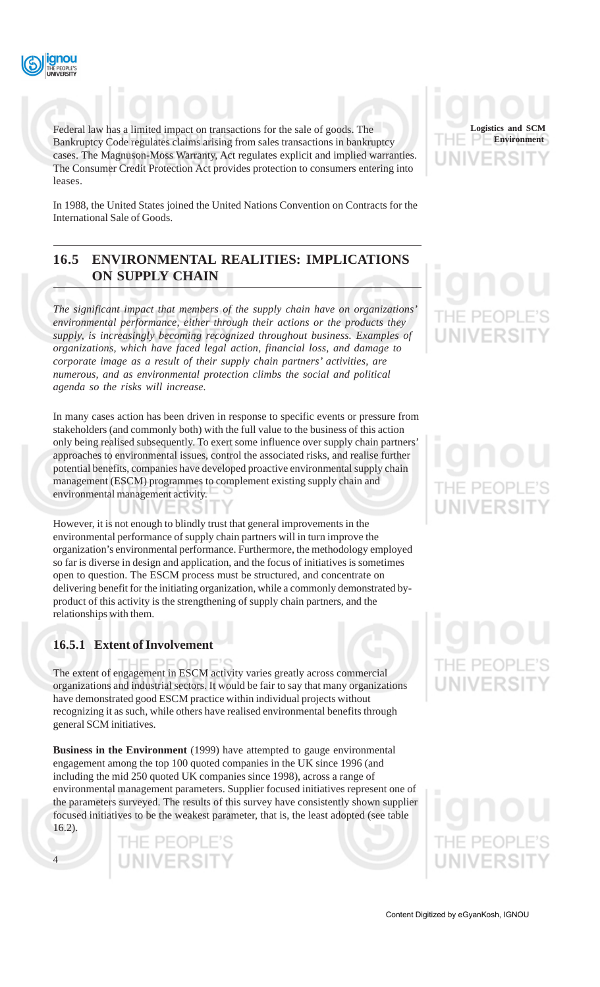

Federal law has a limited impact on transactions for the sale of goods. The Bankruptcy Code regulates claims arising from sales transactions in bankruptcy cases. The Magnuson-Moss Warranty, Act regulates explicit and implied warranties. The Consumer Credit Protection Act provides protection to consumers entering into leases.

In 1988, the United States joined the United Nations Convention on Contracts for the International Sale of Goods.

## **16.5 ENVIRONMENTAL REALITIES: IMPLICATIONS ON SUPPLY CHAIN**

*The significant impact that members of the supply chain have on organizations' environmental performance, either through their actions or the products they supply, is increasingly becoming recognized throughout business. Examples of organizations, which have faced legal action, financial loss, and damage to corporate image as a result of their supply chain partners' activities, are numerous, and as environmental protection climbs the social and political agenda so the risks will increase.*

In many cases action has been driven in response to specific events or pressure from stakeholders (and commonly both) with the full value to the business of this action only being realised subsequently. To exert some influence over supply chain partners' approaches to environmental issues, control the associated risks, and realise further potential benefits, companies have developed proactive environmental supply chain management (ESCM) programmes to complement existing supply chain and environmental management activity.

However, it is not enough to blindly trust that general improvements in the environmental performance of supply chain partners will in turn improve the organization's environmental performance. Furthermore, the methodology employed so far is diverse in design and application, and the focus of initiatives is sometimes open to question. The ESCM process must be structured, and concentrate on delivering benefit for the initiating organization, while a commonly demonstrated byproduct of this activity is the strengthening of supply chain partners, and the relationships with them.

## **16.5.1 Extent of Involvement**

4

The extent of engagement in ESCM activity varies greatly across commercial organizations and industrial sectors. It would be fair to say that many organizations have demonstrated good ESCM practice within individual projects without recognizing it as such, while others have realised environmental benefits through general SCM initiatives.

**Business in the Environment** (1999) have attempted to gauge environmental engagement among the top 100 quoted companies in the UK since 1996 (and including the mid 250 quoted UK companies since 1998), across a range of environmental management parameters. Supplier focused initiatives represent one of the parameters surveyed. The results of this survey have consistently shown supplier focused initiatives to be the weakest parameter, that is, the least adopted (see table 16.2).

> THE PEOPLE'S **UNIVERSIT**

**Logistics and SCM Environment**

IE PEOP

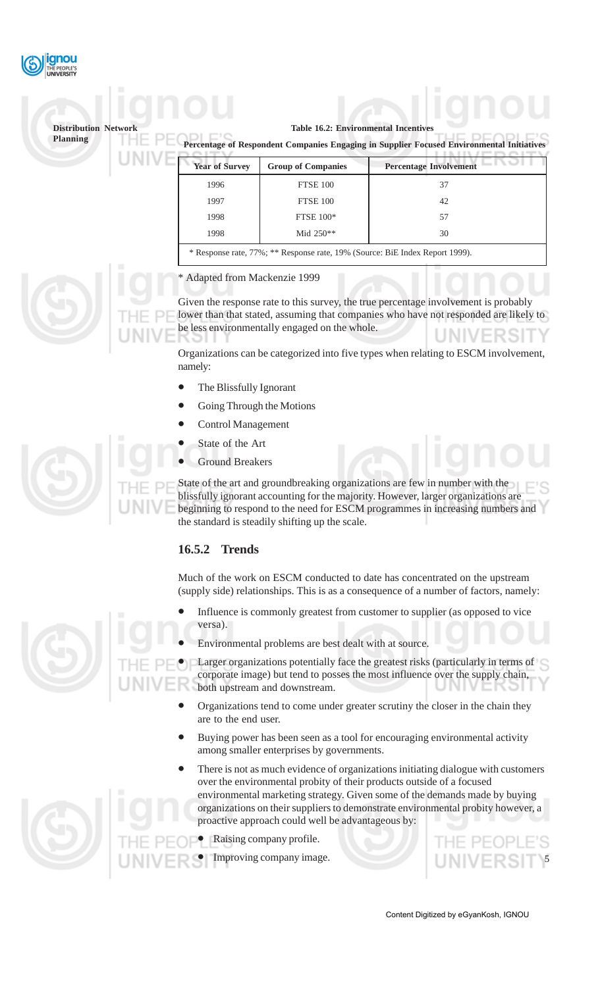

**Table 16.2: Environmental Incentives**

 **Percentage of Respondent Companies Engaging in Supplier Focused Environmental Initiatives**

| <b>Year of Survey</b>                                                                                      | <b>Group of Companies</b> | <b>Percentage Involvement</b> |  |
|------------------------------------------------------------------------------------------------------------|---------------------------|-------------------------------|--|
| 1996                                                                                                       | FTSE 100                  | 37                            |  |
| 1997                                                                                                       | <b>FTSE 100</b>           | 42                            |  |
| 1998                                                                                                       | <b>FTSE 100*</b>          | 57                            |  |
| 1998                                                                                                       | Mid $250**$               | 30                            |  |
| $\ast$ Decrease rate $770$ , $\ast\ast$ Decrease rate $100$ . (Course: $\overline{Dir}$ Index Depart 1000) |                           |                               |  |

Response rate, 77%; \*\* Response rate, 19% (Source: BiE Index Report 1999).

\* Adapted from Mackenzie 1999

Given the response rate to this survey, the true percentage involvement is probably lower than that stated, assuming that companies who have not responded are likely to be less environmentally engaged on the whole.

Organizations can be categorized into five types when relating to ESCM involvement, namely:

- The Blissfully Ignorant
- Going Through the Motions
- Control Management
- State of the Art
- Ground Breakers

State of the art and groundbreaking organizations are few in number with the blissfully ignorant accounting for the majority. However, larger organizations are beginning to respond to the need for ESCM programmes in increasing numbers and the standard is steadily shifting up the scale.

### **16.5.2 Trends**

Much of the work on ESCM conducted to date has concentrated on the upstream (supply side) relationships. This is as a consequence of a number of factors, namely:

- Influence is commonly greatest from customer to supplier (as opposed to vice versa).
- Environmental problems are best dealt with at source.

Larger organizations potentially face the greatest risks (particularly in terms of corporate image) but tend to posses the most influence over the supply chain, both upstream and downstream.

- Organizations tend to come under greater scrutiny the closer in the chain they are to the end user.
- Buying power has been seen as a tool for encouraging environmental activity among smaller enterprises by governments.
- There is not as much evidence of organizations initiating dialogue with customers over the environmental probity of their products outside of a focused environmental marketing strategy. Given some of the demands made by buying organizations on their suppliers to demonstrate environmental probity however, a proactive approach could well be advantageous by:
	- Raising company profile.
	- Improving company image.



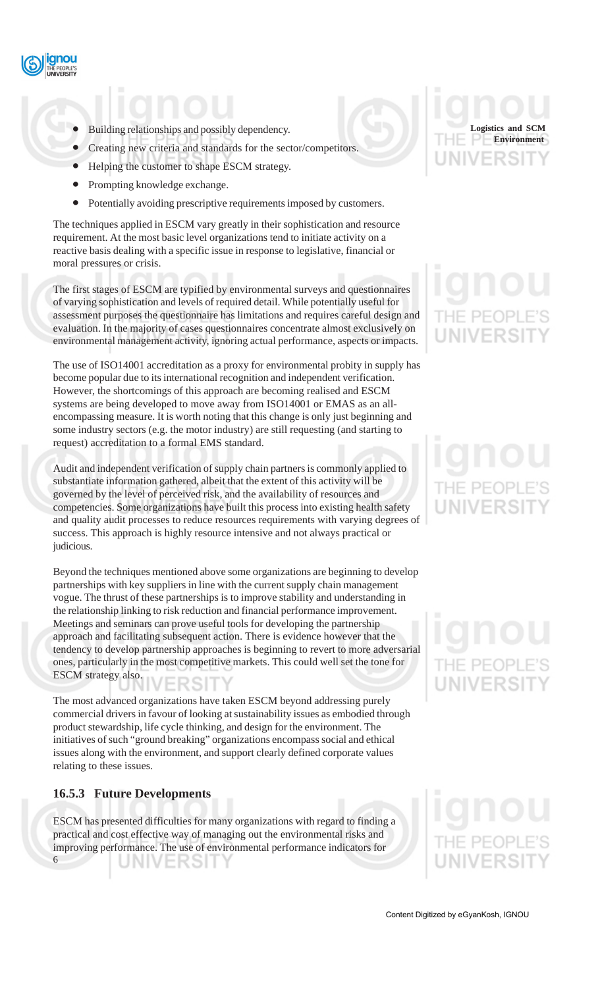

- Building relationships and possibly dependency.
- Creating new criteria and standards for the sector/competitors.
- Helping the customer to shape ESCM strategy.
- Prompting knowledge exchange.
- Potentially avoiding prescriptive requirements imposed by customers.

The techniques applied in ESCM vary greatly in their sophistication and resource requirement. At the most basic level organizations tend to initiate activity on a reactive basis dealing with a specific issue in response to legislative, financial or moral pressures or crisis.

The first stages of ESCM are typified by environmental surveys and questionnaires of varying sophistication and levels of required detail. While potentially useful for assessment purposes the questionnaire has limitations and requires careful design and evaluation. In the majority of cases questionnaires concentrate almost exclusively on environmental management activity, ignoring actual performance, aspects or impacts.

The use of ISO14001 accreditation as a proxy for environmental probity in supply has become popular due to its international recognition and independent verification. However, the shortcomings of this approach are becoming realised and ESCM systems are being developed to move away from ISO14001 or EMAS as an allencompassing measure. It is worth noting that this change is only just beginning and some industry sectors (e.g. the motor industry) are still requesting (and starting to request) accreditation to a formal EMS standard.

Audit and independent verification of supply chain partners is commonly applied to substantiate information gathered, albeit that the extent of this activity will be governed by the level of perceived risk, and the availability of resources and competencies. Some organizations have built this process into existing health safety and quality audit processes to reduce resources requirements with varying degrees of success. This approach is highly resource intensive and not always practical or judicious.

Beyond the techniques mentioned above some organizations are beginning to develop partnerships with key suppliers in line with the current supply chain management vogue. The thrust of these partnerships is to improve stability and understanding in the relationship linking to risk reduction and financial performance improvement. Meetings and seminars can prove useful tools for developing the partnership approach and facilitating subsequent action. There is evidence however that the tendency to develop partnership approaches is beginning to revert to more adversarial ones, particularly in the most competitive markets. This could well set the tone for ESCM strategy also.

The most advanced organizations have taken ESCM beyond addressing purely commercial drivers in favour of looking at sustainability issues as embodied through product stewardship, life cycle thinking, and design for the environment. The initiatives of such "ground breaking" organizations encompass social and ethical issues along with the environment, and support clearly defined corporate values relating to these issues.

### **16.5.3 Future Developments**

ESCM has presented difficulties for many organizations with regard to finding a practical and cost effective way of managing out the environmental risks and improving performance. The use of environmental performance indicators for 6 JNIVERSIT

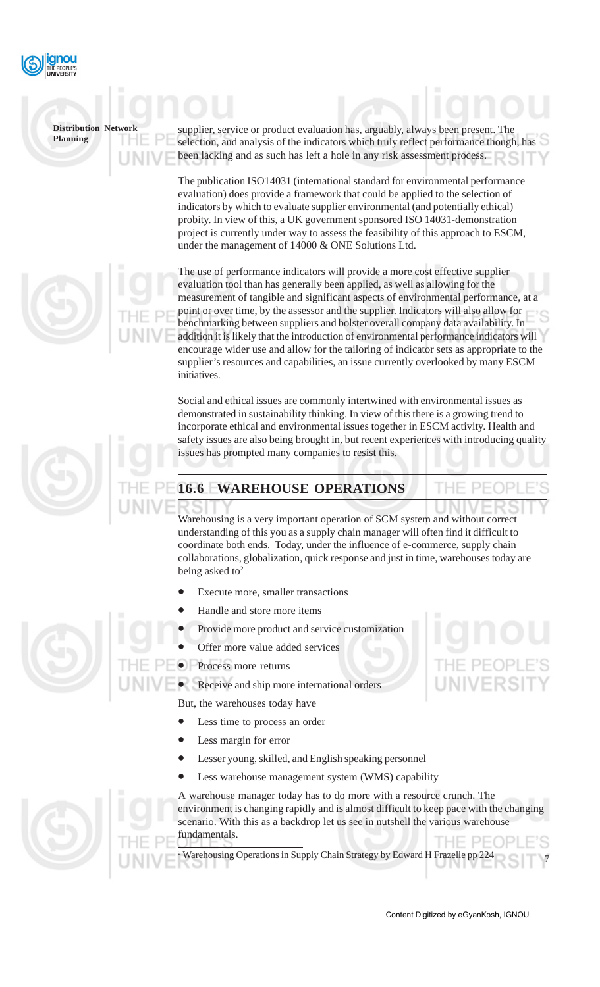

supplier, service or product evaluation has, arguably, always been present. The selection, and analysis of the indicators which truly reflect performance though, has been lacking and as such has left a hole in any risk assessment process.

The publication ISO14031 (international standard for environmental performance evaluation) does provide a framework that could be applied to the selection of indicators by which to evaluate supplier environmental (and potentially ethical) probity. In view of this, a UK government sponsored ISO 14031-demonstration project is currently under way to assess the feasibility of this approach to ESCM, under the management of 14000 & ONE Solutions Ltd.

The use of performance indicators will provide a more cost effective supplier evaluation tool than has generally been applied, as well as allowing for the measurement of tangible and significant aspects of environmental performance, at a point or over time, by the assessor and the supplier. Indicators will also allow for benchmarking between suppliers and bolster overall company data availability. In addition it is likely that the introduction of environmental performance indicators will encourage wider use and allow for the tailoring of indicator sets as appropriate to the supplier's resources and capabilities, an issue currently overlooked by many ESCM initiatives.

Social and ethical issues are commonly intertwined with environmental issues as demonstrated in sustainability thinking. In view of this there is a growing trend to incorporate ethical and environmental issues together in ESCM activity. Health and safety issues are also being brought in, but recent experiences with introducing quality issues has prompted many companies to resist this.

# **16.6 WAREHOUSE OPERATIONS**

Warehousing is a very important operation of SCM system and without correct understanding of this you as a supply chain manager will often find it difficult to coordinate both ends. Today, under the influence of e-commerce, supply chain collaborations, globalization, quick response and just in time, warehouses today are being asked to<sup>2</sup>

- Execute more, smaller transactions
- Handle and store more items
- Provide more product and service customization
- Offer more value added services
- Process more returns
	- Receive and ship more international orders

But, the warehouses today have

- Less time to process an order
- Less margin for error
- Lesser young, skilled, and English speaking personnel
- Less warehouse management system (WMS) capability

A warehouse manager today has to do more with a resource crunch. The environment is changing rapidly and is almost difficult to keep pace with the changing scenario. With this as a backdrop let us see in nutshell the various warehouse fundamentals.

7 2 Warehousing Operations in Supply Chain Strategy by Edward H Frazelle pp 224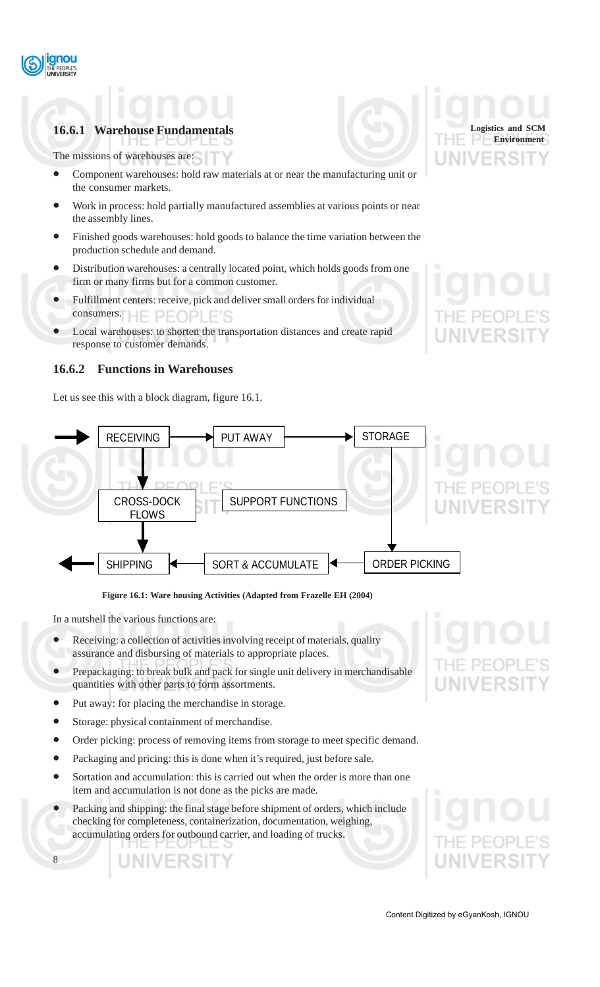

## **16.6.1 Warehouse Fundamentals**

The missions of warehouses are:

- Component warehouses: hold raw materials at or near the manufacturing unit or the consumer markets.
- Work in process: hold partially manufactured assemblies at various points or near the assembly lines.
- Finished goods warehouses: hold goods to balance the time variation between the production schedule and demand.
- Distribution warehouses: a centrally located point, which holds goods from one firm or many firms but for a common customer.
- Fulfillment centers: receive, pick and deliver small orders for individual consumers.
- Local warehouses: to shorten the transportation distances and create rapid response to customer demands.

### **16.6.2 Functions in Warehouses**

Let us see this with a block diagram, figure 16.1.





**Figure 16.1: Ware housing Activities (Adapted from Frazelle EH (2004)**

In a nutshell the various functions are:

- Receiving: a collection of activities involving receipt of materials, quality assurance and disbursing of materials to appropriate places.
- Prepackaging: to break bulk and pack for single unit delivery in merchandisable quantities with other parts to form assortments.
- Put away: for placing the merchandise in storage.
- Storage: physical containment of merchandise.
- Order picking: process of removing items from storage to meet specific demand.
- Packaging and pricing: this is done when it's required, just before sale.
- Sortation and accumulation: this is carried out when the order is more than one item and accumulation is not done as the picks are made.
- Packing and shipping: the final stage before shipment of orders, which include checking for completeness, containerization, documentation, weighing, accumulating orders for outbound carrier, and loading of trucks.

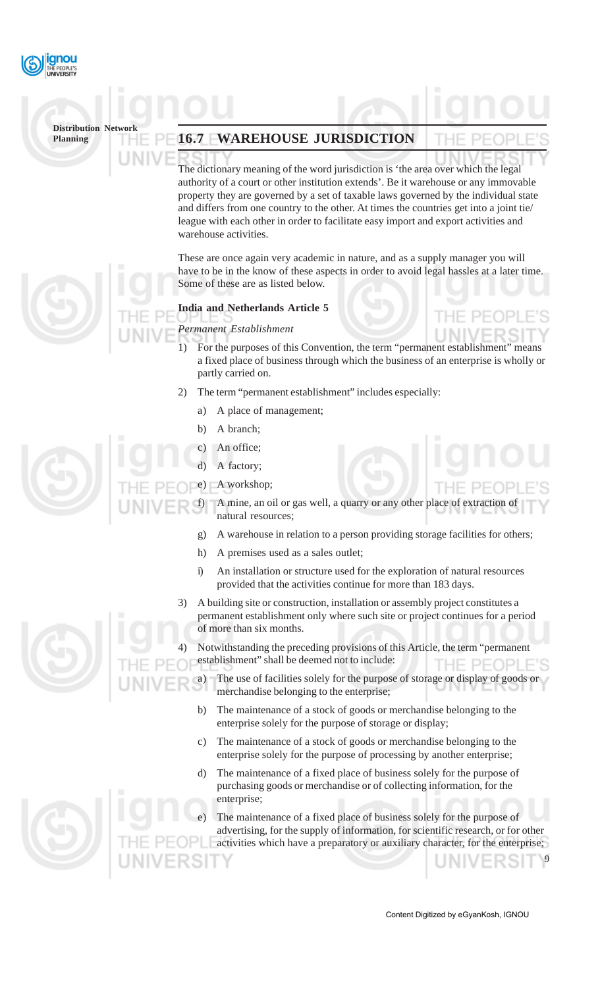

## **16.7 WAREHOUSE JURISDICTION**

The dictionary meaning of the word jurisdiction is 'the area over which the legal authority of a court or other institution extends'. Be it warehouse or any immovable property they are governed by a set of taxable laws governed by the individual state and differs from one country to the other. At times the countries get into a joint tie/ league with each other in order to facilitate easy import and export activities and warehouse activities.

These are once again very academic in nature, and as a supply manager you will have to be in the know of these aspects in order to avoid legal hassles at a later time. Some of these are as listed below.

#### **India and Netherlands Article 5**

#### *Permanent Establishment*

- 1) For the purposes of this Convention, the term "permanent establishment" means a fixed place of business through which the business of an enterprise is wholly or partly carried on.
- 2) The term "permanent establishment" includes especially:
	- a) A place of management;
	- b) A branch;
	- An office;
		- A factory:
- A workshop;

A mine, an oil or gas well, a quarry or any other place of extraction natural resources;

- g) A warehouse in relation to a person providing storage facilities for others;
- h) A premises used as a sales outlet;
- i) An installation or structure used for the exploration of natural resources provided that the activities continue for more than 183 days.
- 3) A building site or construction, installation or assembly project constitutes a permanent establishment only where such site or project continues for a period of more than six months.
- Notwithstanding the preceding provisions of this Article, the term "permanent establishment" shall be deemed not to include:
	- a) The use of facilities solely for the purpose of storage or display of goods or merchandise belonging to the enterprise;
	- b) The maintenance of a stock of goods or merchandise belonging to the enterprise solely for the purpose of storage or display;
	- c) The maintenance of a stock of goods or merchandise belonging to the enterprise solely for the purpose of processing by another enterprise;
	- d) The maintenance of a fixed place of business solely for the purpose of purchasing goods or merchandise or of collecting information, for the enterprise;

The maintenance of a fixed place of business solely for the purpose of advertising, for the supply of information, for scientific research, or for other activities which have a preparatory or auxiliary character, for the enterprise;

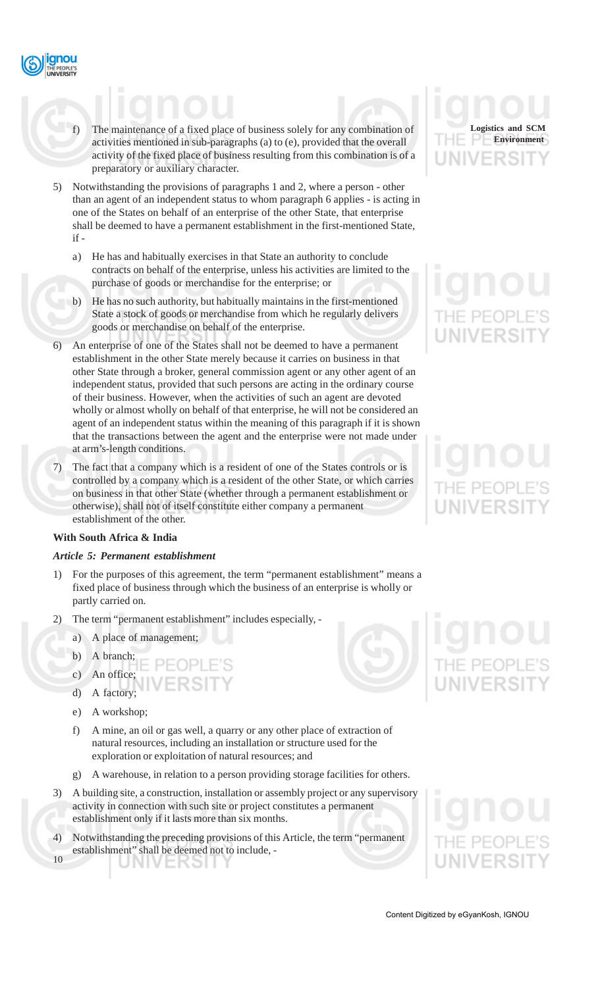- - f) The maintenance of a fixed place of business solely for any combination of activities mentioned in sub-paragraphs (a) to (e), provided that the overall activity of the fixed place of business resulting from this combination is of a preparatory or auxiliary character.
	- 5) Notwithstanding the provisions of paragraphs 1 and 2, where a person other than an agent of an independent status to whom paragraph 6 applies - is acting in one of the States on behalf of an enterprise of the other State, that enterprise shall be deemed to have a permanent establishment in the first-mentioned State, if
		- a) He has and habitually exercises in that State an authority to conclude contracts on behalf of the enterprise, unless his activities are limited to the purchase of goods or merchandise for the enterprise; or
		- b) He has no such authority, but habitually maintains in the first-mentioned State a stock of goods or merchandise from which he regularly delivers goods or merchandise on behalf of the enterprise.
	- 6) An enterprise of one of the States shall not be deemed to have a permanent establishment in the other State merely because it carries on business in that other State through a broker, general commission agent or any other agent of an independent status, provided that such persons are acting in the ordinary course of their business. However, when the activities of such an agent are devoted wholly or almost wholly on behalf of that enterprise, he will not be considered an agent of an independent status within the meaning of this paragraph if it is shown that the transactions between the agent and the enterprise were not made under at arm's-length conditions.
	- 7) The fact that a company which is a resident of one of the States controls or is controlled by a company which is a resident of the other State, or which carries on business in that other State (whether through a permanent establishment or otherwise), shall not of itself constitute either company a permanent establishment of the other.

#### **With South Africa & India**

#### *Article 5: Permanent establishment*

- 1) For the purposes of this agreement, the term "permanent establishment" means a fixed place of business through which the business of an enterprise is wholly or partly carried on.
- The term "permanent establishment" includes especially,
	- a) A place of management;
	- b) A branch;
	- c) An office;

J N I V

ENOL

- d) A factory;
- e) A workshop;
- f) A mine, an oil or gas well, a quarry or any other place of extraction of natural resources, including an installation or structure used for the exploration or exploitation of natural resources; and
- g) A warehouse, in relation to a person providing storage facilities for others.
- 3) A building site, a construction, installation or assembly project or any supervisory activity in connection with such site or project constitutes a permanent establishment only if it lasts more than six months.
- 10 4) Notwithstanding the preceding provisions of this Article, the term "permanent establishment" shall be deemed not to include, -



# UNIVERSIT



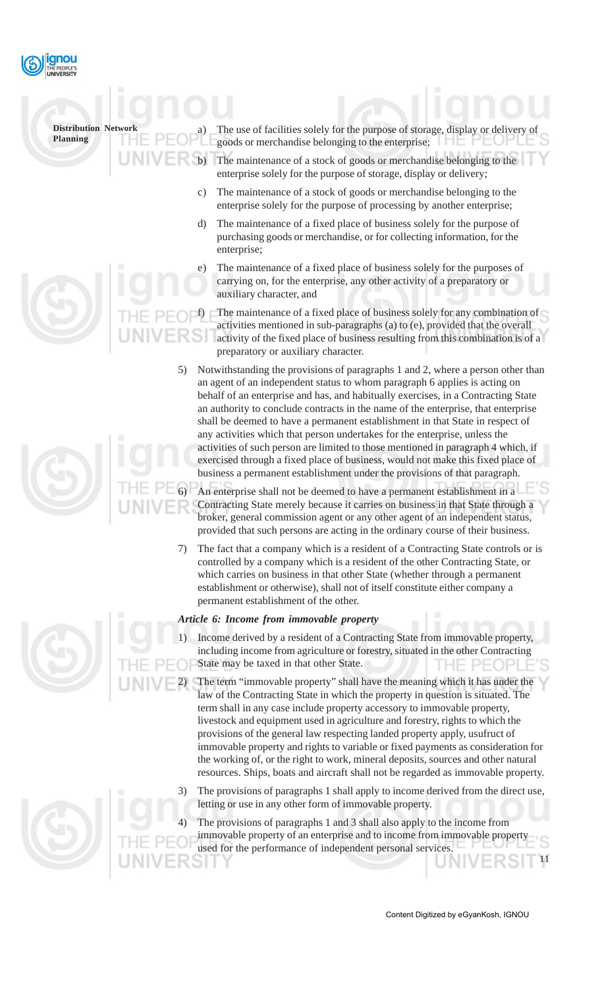

| <b>Distribution Network</b><br><b>Planning</b> | The use of facilities solely for the purpose of storage, display or delivery of<br>a)<br>goods or merchandise belonging to the enterprise;                                                                                                                                                                                                                                                                                                                                                                                                                                                                                                                                                                                                                   |
|------------------------------------------------|--------------------------------------------------------------------------------------------------------------------------------------------------------------------------------------------------------------------------------------------------------------------------------------------------------------------------------------------------------------------------------------------------------------------------------------------------------------------------------------------------------------------------------------------------------------------------------------------------------------------------------------------------------------------------------------------------------------------------------------------------------------|
|                                                | The maintenance of a stock of goods or merchandise belonging to the<br>enterprise solely for the purpose of storage, display or delivery;                                                                                                                                                                                                                                                                                                                                                                                                                                                                                                                                                                                                                    |
|                                                | The maintenance of a stock of goods or merchandise belonging to the<br>$\mathcal{C}$ )<br>enterprise solely for the purpose of processing by another enterprise;                                                                                                                                                                                                                                                                                                                                                                                                                                                                                                                                                                                             |
|                                                | The maintenance of a fixed place of business solely for the purpose of<br>d)<br>purchasing goods or merchandise, or for collecting information, for the<br>enterprise;                                                                                                                                                                                                                                                                                                                                                                                                                                                                                                                                                                                       |
|                                                | The maintenance of a fixed place of business solely for the purposes of<br>e)<br>carrying on, for the enterprise, any other activity of a preparatory or<br>auxiliary character, and                                                                                                                                                                                                                                                                                                                                                                                                                                                                                                                                                                         |
|                                                | The maintenance of a fixed place of business solely for any combination of<br>activities mentioned in sub-paragraphs (a) to (e), provided that the overall<br>activity of the fixed place of business resulting from this combination is of a<br>preparatory or auxiliary character.                                                                                                                                                                                                                                                                                                                                                                                                                                                                         |
| 5)                                             | Notwithstanding the provisions of paragraphs 1 and 2, where a person other than<br>an agent of an independent status to whom paragraph 6 applies is acting on<br>behalf of an enterprise and has, and habitually exercises, in a Contracting State<br>an authority to conclude contracts in the name of the enterprise, that enterprise<br>shall be deemed to have a permanent establishment in that State in respect of<br>any activities which that person undertakes for the enterprise, unless the<br>activities of such person are limited to those mentioned in paragraph 4 which, if<br>exercised through a fixed place of business, would not make this fixed place of<br>business a permanent establishment under the provisions of that paragraph. |
|                                                | An enterprise shall not be deemed to have a permanent establishment in a                                                                                                                                                                                                                                                                                                                                                                                                                                                                                                                                                                                                                                                                                     |

6) An enterprise shall not be deemed to have a permanent establishment in a Contracting State merely because it carries on business in that State through a broker, general commission agent or any other agent of an independent status, provided that such persons are acting in the ordinary course of their business.

7) The fact that a company which is a resident of a Contracting State controls or is controlled by a company which is a resident of the other Contracting State, or which carries on business in that other State (whether through a permanent establishment or otherwise), shall not of itself constitute either company a permanent establishment of the other.

#### *Article 6: Income from immovable property*

- Income derived by a resident of a Contracting State from immovable property, including income from agriculture or forestry, situated in the other Contracting State may be taxed in that other State.
	- 2) The term "immovable property" shall have the meaning which it has under the law of the Contracting State in which the property in question is situated. The term shall in any case include property accessory to immovable property, livestock and equipment used in agriculture and forestry, rights to which the provisions of the general law respecting landed property apply, usufruct of immovable property and rights to variable or fixed payments as consideration for the working of, or the right to work, mineral deposits, sources and other natural resources. Ships, boats and aircraft shall not be regarded as immovable property.
- The provisions of paragraphs 1 shall apply to income derived from the direct use, letting or use in any other form of immovable property.
- 11 The provisions of paragraphs 1 and 3 shall also apply to the income from immovable property of an enterprise and to income from immovable property used for the performance of independent personal services.

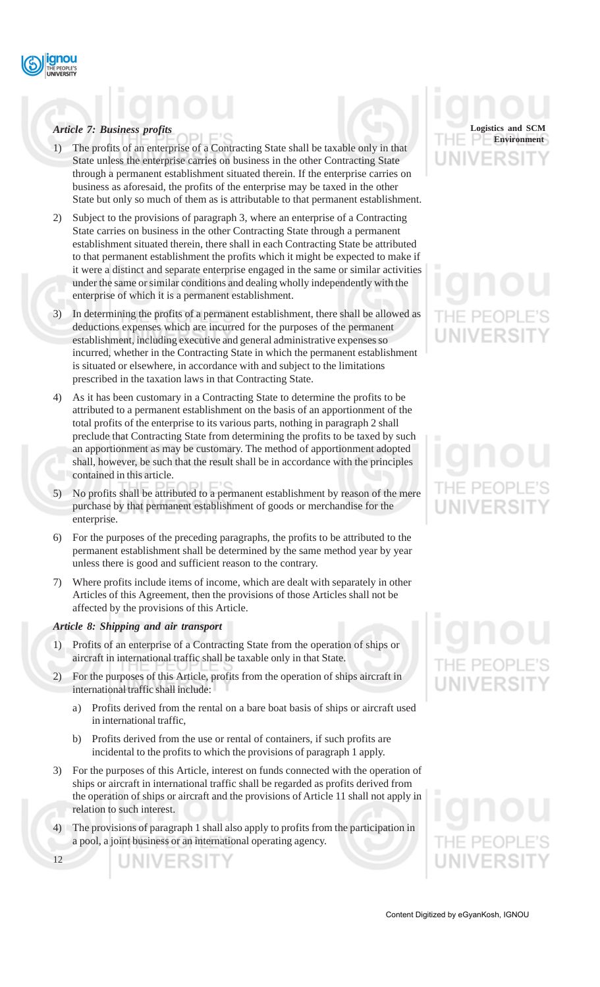## *Article 7: Business profits*

- The profits of an enterprise of a Contracting State shall be taxable only in that State unless the enterprise carries on business in the other Contracting State through a permanent establishment situated therein. If the enterprise carries on business as aforesaid, the profits of the enterprise may be taxed in the other State but only so much of them as is attributable to that permanent establishment.
- 2) Subject to the provisions of paragraph 3, where an enterprise of a Contracting State carries on business in the other Contracting State through a permanent establishment situated therein, there shall in each Contracting State be attributed to that permanent establishment the profits which it might be expected to make if it were a distinct and separate enterprise engaged in the same or similar activities under the same or similar conditions and dealing wholly independently with the enterprise of which it is a permanent establishment.
- 3) In determining the profits of a permanent establishment, there shall be allowed as deductions expenses which are incurred for the purposes of the permanent establishment, including executive and general administrative expenses so incurred, whether in the Contracting State in which the permanent establishment is situated or elsewhere, in accordance with and subject to the limitations prescribed in the taxation laws in that Contracting State.
- 4) As it has been customary in a Contracting State to determine the profits to be attributed to a permanent establishment on the basis of an apportionment of the total profits of the enterprise to its various parts, nothing in paragraph 2 shall preclude that Contracting State from determining the profits to be taxed by such an apportionment as may be customary. The method of apportionment adopted shall, however, be such that the result shall be in accordance with the principles contained in this article.
- 5) No profits shall be attributed to a permanent establishment by reason of the mere purchase by that permanent establishment of goods or merchandise for the enterprise.
- 6) For the purposes of the preceding paragraphs, the profits to be attributed to the permanent establishment shall be determined by the same method year by year unless there is good and sufficient reason to the contrary.
- 7) Where profits include items of income, which are dealt with separately in other Articles of this Agreement, then the provisions of those Articles shall not be affected by the provisions of this Article.

#### *Article 8: Shipping and air transport*

- 1) Profits of an enterprise of a Contracting State from the operation of ships or aircraft in international traffic shall be taxable only in that State.
- 2) For the purposes of this Article, profits from the operation of ships aircraft in international traffic shall include:
	- a) Profits derived from the rental on a bare boat basis of ships or aircraft used in international traffic,
	- b) Profits derived from the use or rental of containers, if such profits are incidental to the profits to which the provisions of paragraph 1 apply.
- 3) For the purposes of this Article, interest on funds connected with the operation of ships or aircraft in international traffic shall be regarded as profits derived from the operation of ships or aircraft and the provisions of Article 11 shall not apply in relation to such interest.
- 4) The provisions of paragraph 1 shall also apply to profits from the participation in a pool, a joint business or an international operating agency.

JNIVERSIT

12

# **Logistics and SCM Environment**

# HF PFOPI **UNIVERSI**

# THE PEOP **UNIVERSI**

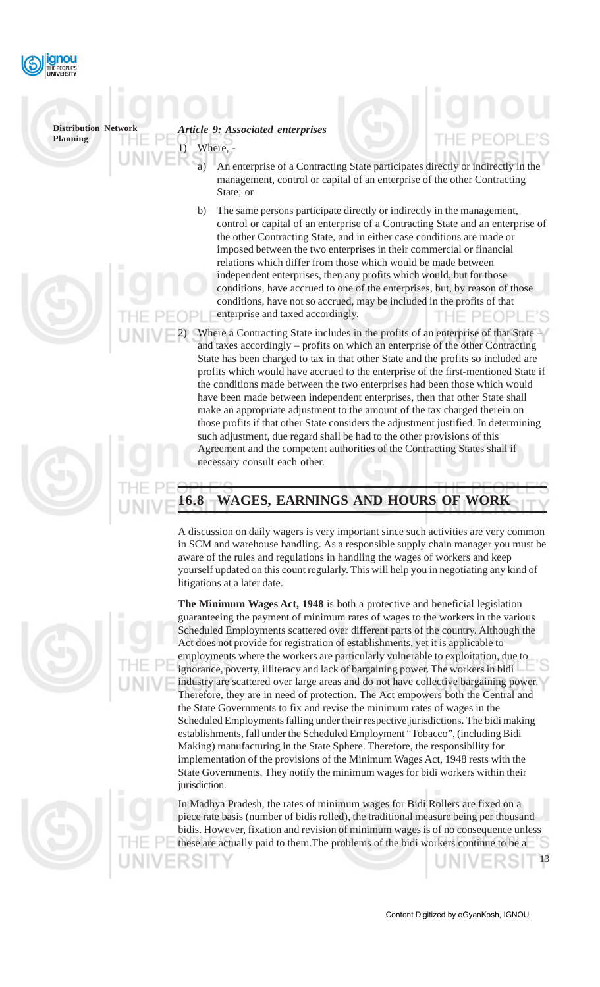

*Article 9: Associated enterprises* Where,

- An enterprise of a Contracting State participates directly or indirectly in the management, control or capital of an enterprise of the other Contracting State; or
- b) The same persons participate directly or indirectly in the management, control or capital of an enterprise of a Contracting State and an enterprise of the other Contracting State, and in either case conditions are made or imposed between the two enterprises in their commercial or financial relations which differ from those which would be made between independent enterprises, then any profits which would, but for those conditions, have accrued to one of the enterprises, but, by reason of those conditions, have not so accrued, may be included in the profits of that enterprise and taxed accordingly.
- Where a Contracting State includes in the profits of an enterprise of that State and taxes accordingly – profits on which an enterprise of the other Contracting State has been charged to tax in that other State and the profits so included are profits which would have accrued to the enterprise of the first-mentioned State if the conditions made between the two enterprises had been those which would have been made between independent enterprises, then that other State shall make an appropriate adjustment to the amount of the tax charged therein on those profits if that other State considers the adjustment justified. In determining such adjustment, due regard shall be had to the other provisions of this Agreement and the competent authorities of the Contracting States shall if necessary consult each other.

# **16.8 WAGES, EARNINGS AND HOURS OF WORK**

A discussion on daily wagers is very important since such activities are very common in SCM and warehouse handling. As a responsible supply chain manager you must be aware of the rules and regulations in handling the wages of workers and keep yourself updated on this count regularly. This will help you in negotiating any kind of litigations at a later date.



**The Minimum Wages Act, 1948** is both a protective and beneficial legislation guaranteeing the payment of minimum rates of wages to the workers in the various Scheduled Employments scattered over different parts of the country. Although the Act does not provide for registration of establishments, yet it is applicable to employments where the workers are particularly vulnerable to exploitation, due to ignorance, poverty, illiteracy and lack of bargaining power. The workers in bidi industry are scattered over large areas and do not have collective bargaining power. Therefore, they are in need of protection. The Act empowers both the Central and the State Governments to fix and revise the minimum rates of wages in the Scheduled Employments falling under their respective jurisdictions. The bidi making establishments, fall under the Scheduled Employment "Tobacco", (including Bidi Making) manufacturing in the State Sphere. Therefore, the responsibility for implementation of the provisions of the Minimum Wages Act, 1948 rests with the State Governments. They notify the minimum wages for bidi workers within their jurisdiction.

In Madhya Pradesh, the rates of minimum wages for Bidi Rollers are fixed on a piece rate basis (number of bidis rolled), the traditional measure being per thousand bidis. However, fixation and revision of minimum wages is of no consequence unless these are actually paid to them.The problems of the bidi workers continue to be a

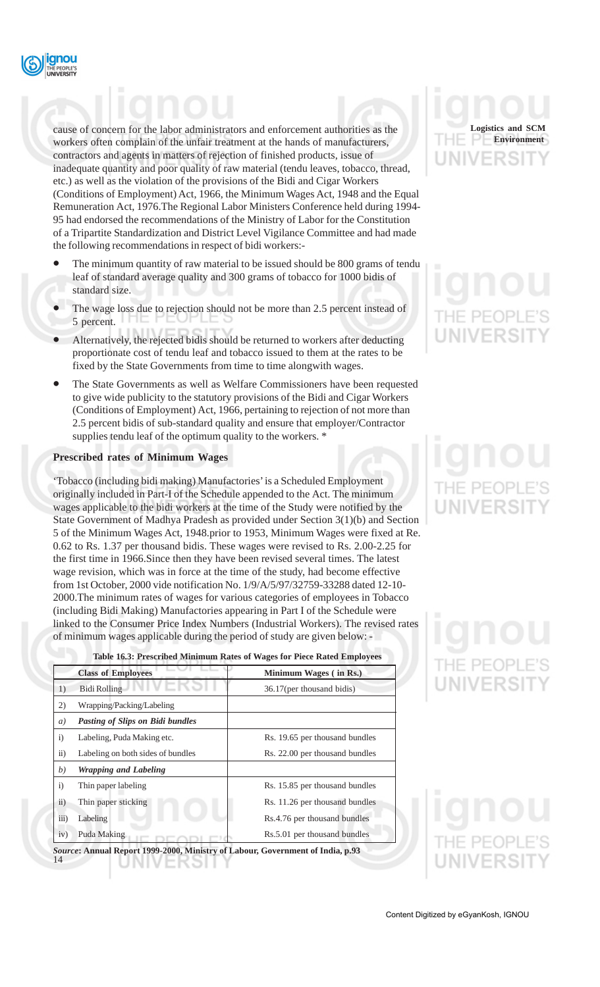

cause of concern for the labor administrators and enforcement authorities as the workers often complain of the unfair treatment at the hands of manufacturers, contractors and agents in matters of rejection of finished products, issue of inadequate quantity and poor quality of raw material (tendu leaves, tobacco, thread, etc.) as well as the violation of the provisions of the Bidi and Cigar Workers (Conditions of Employment) Act, 1966, the Minimum Wages Act, 1948 and the Equal Remuneration Act, 1976.The Regional Labor Ministers Conference held during 1994- 95 had endorsed the recommendations of the Ministry of Labor for the Constitution of a Tripartite Standardization and District Level Vigilance Committee and had made the following recommendations in respect of bidi workers:-

- The minimum quantity of raw material to be issued should be 800 grams of tendu leaf of standard average quality and 300 grams of tobacco for 1000 bidis of standard size.
- The wage loss due to rejection should not be more than 2.5 percent instead of 5 percent.
- Alternatively, the rejected bidis should be returned to workers after deducting proportionate cost of tendu leaf and tobacco issued to them at the rates to be fixed by the State Governments from time to time alongwith wages.
- The State Governments as well as Welfare Commissioners have been requested to give wide publicity to the statutory provisions of the Bidi and Cigar Workers (Conditions of Employment) Act, 1966, pertaining to rejection of not more than 2.5 percent bidis of sub-standard quality and ensure that employer/Contractor supplies tendu leaf of the optimum quality to the workers. \*

#### **Prescribed rates of Minimum Wages**

'Tobacco (including bidi making) Manufactories' is a Scheduled Employment originally included in Part-I of the Schedule appended to the Act. The minimum wages applicable to the bidi workers at the time of the Study were notified by the State Government of Madhya Pradesh as provided under Section 3(1)(b) and Section 5 of the Minimum Wages Act, 1948.prior to 1953, Minimum Wages were fixed at Re. 0.62 to Rs. 1.37 per thousand bidis. These wages were revised to Rs. 2.00-2.25 for the first time in 1966.Since then they have been revised several times. The latest wage revision, which was in force at the time of the study, had become effective from 1st October, 2000 vide notification No. 1/9/A/5/97/32759-33288 dated 12-10- 2000.The minimum rates of wages for various categories of employees in Tobacco (including Bidi Making) Manufactories appearing in Part I of the Schedule were linked to the Consumer Price Index Numbers (Industrial Workers). The revised rates of minimum wages applicable during the period of study are given below: -

|              | Table 10.3: Prescribed Minimum Rates of Wages for Piece Rated Employees |                                |  |  |
|--------------|-------------------------------------------------------------------------|--------------------------------|--|--|
|              | <b>Class of Employees</b>                                               | Minimum Wages (in Rs.)         |  |  |
| 1)           | <b>Bidi Rolling</b>                                                     | 36.17(per thousand bidis)      |  |  |
| 2)           | Wrapping/Packing/Labeling                                               |                                |  |  |
| a)           | <b>Pasting of Slips on Bidi bundles</b>                                 |                                |  |  |
| i)           | Labeling, Puda Making etc.                                              | Rs. 19.65 per thousand bundles |  |  |
| $\ddot{a}$ ) | Labeling on both sides of bundles                                       | Rs. 22.00 per thousand bundles |  |  |
| b)           | <b>Wrapping and Labeling</b>                                            |                                |  |  |
| i)           | Thin paper labeling                                                     | Rs. 15.85 per thousand bundles |  |  |
| $\ddot{11})$ | Thin paper sticking                                                     | Rs. 11.26 per thousand bundles |  |  |
| iii)         | Labeling                                                                | Rs.4.76 per thousand bundles   |  |  |
| iv)          | Puda Making                                                             | Rs.5.01 per thousand bundles   |  |  |
|              |                                                                         |                                |  |  |

**Table 16.3: Prescribed Minimum Rates of Wages for Piece Rated Employees**



*Source***: Annual Report 1999-2000, Ministry of Labour, Government of India, p.93** 14 UNIVERƏH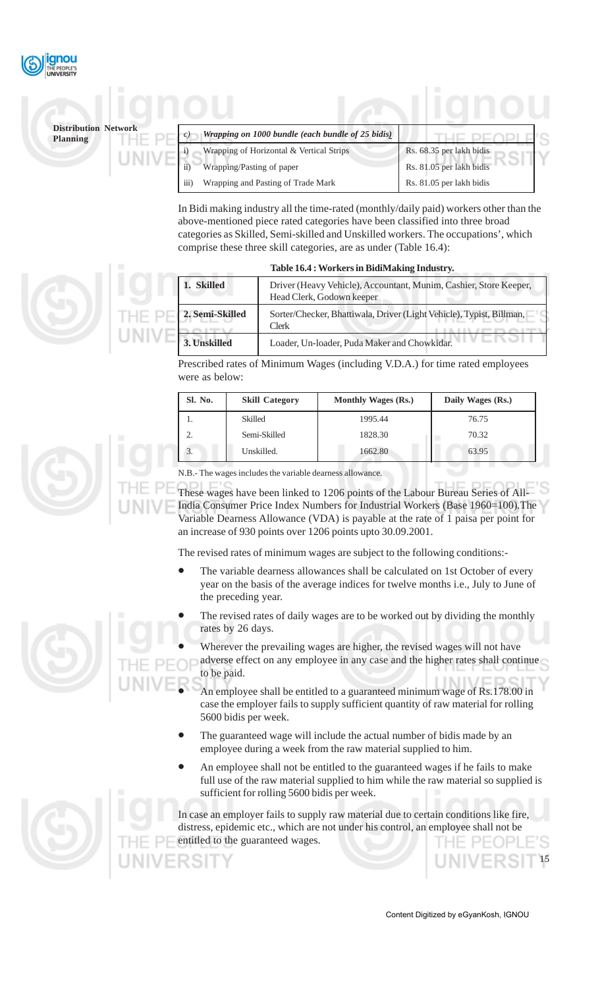

| $\mathcal{C}$    | Wrapping on 1000 bundle (each bundle of 25 bidis) |                          |
|------------------|---------------------------------------------------|--------------------------|
|                  | Wrapping of Horizontal & Vertical Strips          | Rs. 68.35 per lakh bidis |
| 11               | Wrapping/Pasting of paper                         | Rs. 81.05 per lakh bidis |
| $\overline{iii}$ | Wrapping and Pasting of Trade Mark                | Rs. 81.05 per lakh bidis |

In Bidi making industry all the time-rated (monthly/daily paid) workers other than the above-mentioned piece rated categories have been classified into three broad categories as Skilled, Semi-skilled and Unskilled workers. The occupations', which comprise these three skill categories, are as under (Table 16.4):

**Table 16.4 : Workers in BidiMaking Industry.**

|                 | Table 16.4 : Workers in Bidimaking Industry.                                                   |
|-----------------|------------------------------------------------------------------------------------------------|
| 1. Skilled      | Driver (Heavy Vehicle), Accountant, Munim, Cashier, Store Keeper,<br>Head Clerk, Godown keeper |
| 2. Semi-Skilled | Sorter/Checker, Bhattiwala, Driver (Light Vehicle), Typist, Billman,<br>Clerk                  |
| 3. Unskilled    | Loader, Un-loader, Puda Maker and Chowkidar.                                                   |

Prescribed rates of Minimum Wages (including V.D.A.) for time rated employees were as below:

| Sl. No. | <b>Skill Category</b> | <b>Monthly Wages (Rs.)</b> | Daily Wages (Rs.) |
|---------|-----------------------|----------------------------|-------------------|
|         | Skilled               | 1995.44                    | 76.75             |
| ∍       | Semi-Skilled          | 1828.30                    | 70.32             |
| 3.      | Unskilled.            | 1662.80                    | 63.95             |

N.B.- The wages includes the variable dearness allowance.

These wages have been linked to 1206 points of the Labour Bureau Series of All-India Consumer Price Index Numbers for Industrial Workers (Base 1960=100).The Variable Dearness Allowance (VDA) is payable at the rate of 1 paisa per point for an increase of 930 points over 1206 points upto 30.09.2001.

The revised rates of minimum wages are subject to the following conditions:-

- The variable dearness allowances shall be calculated on 1st October of every year on the basis of the average indices for twelve months i.e., July to June of the preceding year.
- The revised rates of daily wages are to be worked out by dividing the monthly rates by 26 days.

Wherever the prevailing wages are higher, the revised wages will not have adverse effect on any employee in any case and the higher rates shall continue to be paid.

- An employee shall be entitled to a guaranteed minimum wage of Rs.178.00 in case the employer fails to supply sufficient quantity of raw material for rolling 5600 bidis per week.
- The guaranteed wage will include the actual number of bidis made by an employee during a week from the raw material supplied to him.
- An employee shall not be entitled to the guaranteed wages if he fails to make full use of the raw material supplied to him while the raw material so supplied is sufficient for rolling 5600 bidis per week.

In case an employer fails to supply raw material due to certain conditions like fire distress, epidemic etc., which are not under his control, an employee shall not be entitled to the guaranteed wages.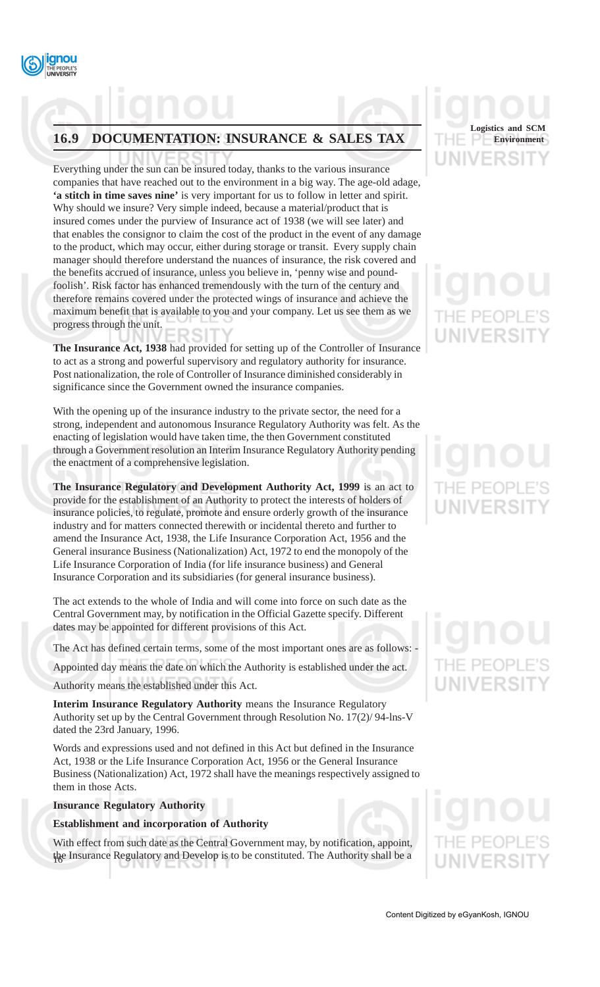

## **16.9 DOCUMENTATION: INSURANCE & SALES TAX**

Everything under the sun can be insured today, thanks to the various insurance companies that have reached out to the environment in a big way. The age-old adage, **'a stitch in time saves nine'** is very important for us to follow in letter and spirit. Why should we insure? Very simple indeed, because a material/product that is insured comes under the purview of Insurance act of 1938 (we will see later) and that enables the consignor to claim the cost of the product in the event of any damage to the product, which may occur, either during storage or transit. Every supply chain manager should therefore understand the nuances of insurance, the risk covered and the benefits accrued of insurance, unless you believe in, 'penny wise and poundfoolish'. Risk factor has enhanced tremendously with the turn of the century and therefore remains covered under the protected wings of insurance and achieve the maximum benefit that is available to you and your company. Let us see them as we progress through the unit.

**The Insurance Act, 1938** had provided for setting up of the Controller of Insurance to act as a strong and powerful supervisory and regulatory authority for insurance. Post nationalization, the role of Controller of Insurance diminished considerably in significance since the Government owned the insurance companies.

With the opening up of the insurance industry to the private sector, the need for a strong, independent and autonomous Insurance Regulatory Authority was felt. As the enacting of legislation would have taken time, the then Government constituted through a Government resolution an Interim Insurance Regulatory Authority pending the enactment of a comprehensive legislation.

**The Insurance Regulatory and Development Authority Act, 1999** is an act to provide for the establishment of an Authority to protect the interests of holders of insurance policies, to regulate, promote and ensure orderly growth of the insurance industry and for matters connected therewith or incidental thereto and further to amend the Insurance Act, 1938, the Life Insurance Corporation Act, 1956 and the General insurance Business (Nationalization) Act, 1972 to end the monopoly of the Life Insurance Corporation of India (for life insurance business) and General Insurance Corporation and its subsidiaries (for general insurance business).

The act extends to the whole of India and will come into force on such date as the Central Government may, by notification in the Official Gazette specify. Different dates may be appointed for different provisions of this Act.

The Act has defined certain terms, some of the most important ones are as follows: -

Appointed day means the date on which the Authority is established under the act.

Authority means the established under this Act.

**Interim Insurance Regulatory Authority** means the Insurance Regulatory Authority set up by the Central Government through Resolution No. 17(2)/ 94-lns-V dated the 23rd January, 1996.

Words and expressions used and not defined in this Act but defined in the Insurance Act, 1938 or the Life Insurance Corporation Act, 1956 or the General Insurance Business (Nationalization) Act, 1972 shall have the meanings respectively assigned to them in those Acts.

#### **Insurance Regulatory Authority**

#### **Establishment and incorporation of Authority**

the Insurance Regulatory and Develop is to be constituted. The Authority shall be a With effect from such date as the Central Government may, by notification, appoint,



# IF PFOP **UNIVERSI**

# HE PEOF UNIVERSIT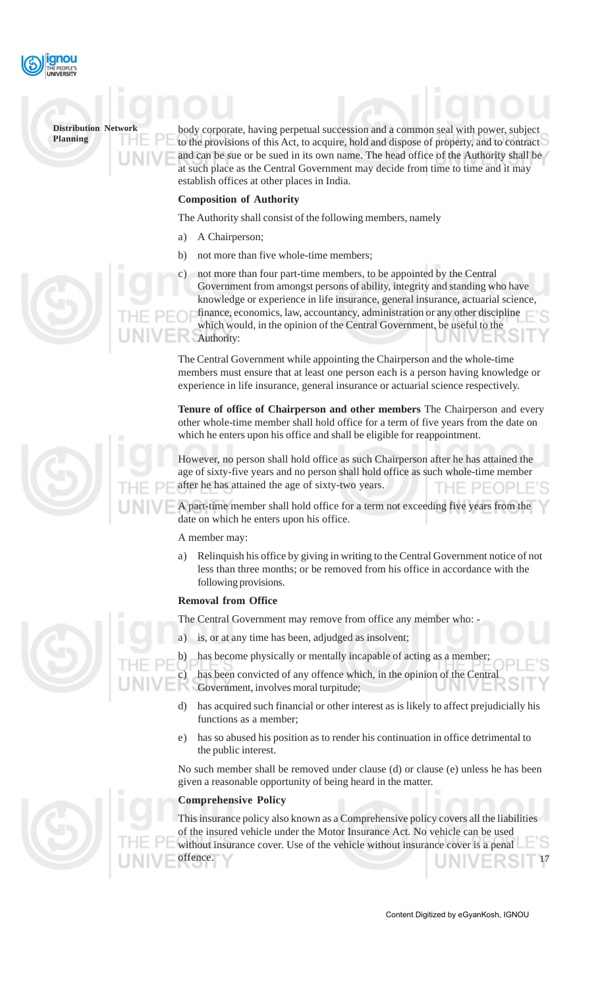

body corporate, having perpetual succession and a common seal with power, subject to the provisions of this Act, to acquire, hold and dispose of property, and to contract and can be sue or be sued in its own name. The head office of the Authority shall be at such place as the Central Government may decide from time to time and it may establish offices at other places in India.

### **Composition of Authority**

The Authority shall consist of the following members, namely

- a) A Chairperson;
- b) not more than five whole-time members;
- c) not more than four part-time members, to be appointed by the Central Government from amongst persons of ability, integrity and standing who have knowledge or experience in life insurance, general insurance, actuarial science, finance, economics, law, accountancy, administration or any other discipline which would, in the opinion of the Central Government, be useful to the Authority:

The Central Government while appointing the Chairperson and the whole-time members must ensure that at least one person each is a person having knowledge or experience in life insurance, general insurance or actuarial science respectively.

**Tenure of office of Chairperson and other members** The Chairperson and every other whole-time member shall hold office for a term of five years from the date on which he enters upon his office and shall be eligible for reappointment.

However, no person shall hold office as such Chairperson after he has attained the age of sixty-five years and no person shall hold office as such whole-time member after he has attained the age of sixty-two years.

A part-time member shall hold office for a term not exceeding five years from the date on which he enters upon his office.

A member may:

a) Relinquish his office by giving in writing to the Central Government notice of not less than three months; or be removed from his office in accordance with the following provisions.

#### **Removal from Office**

The Central Government may remove from office any member who: -

a) is, or at any time has been, adjudged as insolvent;

has become physically or mentally incapable of acting as a member

has been convicted of any offence which, in the opinion of the Central Government, involves moral turpitude;

- d) has acquired such financial or other interest as is likely to affect prejudicially his functions as a member;
- e) has so abused his position as to render his continuation in office detrimental to the public interest.

No such member shall be removed under clause (d) or clause (e) unless he has been given a reasonable opportunity of being heard in the matter.

## **Comprehensive Policy**

17 This insurance policy also known as a Comprehensive policy covers all the liabilities of the insured vehicle under the Motor Insurance Act. No vehicle can be used without insurance cover. Use of the vehicle without insurance cover is a penal offence.





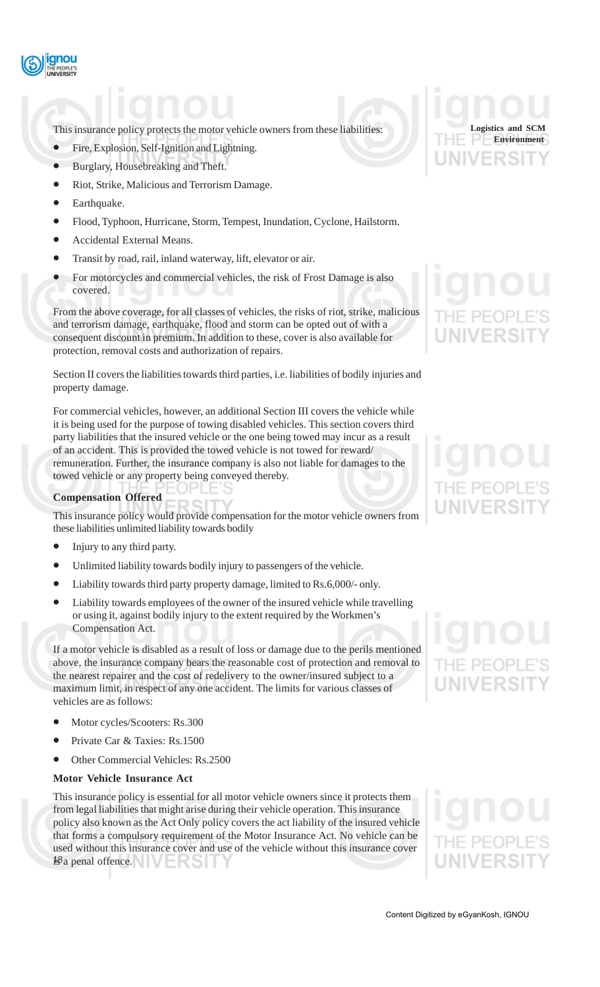

This insurance policy protects the motor vehicle owners from these liabilities:

- Fire, Explosion, Self-Ignition and Lightning.
- Burglary, Housebreaking and Theft.
- Riot, Strike, Malicious and Terrorism Damage.
- Earthquake.
- Flood, Typhoon, Hurricane, Storm, Tempest, Inundation, Cyclone, Hailstorm.
- Accidental External Means.
- Transit by road, rail, inland waterway, lift, elevator or air.
- For motorcycles and commercial vehicles, the risk of Frost Damage is also covered.

From the above coverage, for all classes of vehicles, the risks of riot, strike, malicious and terrorism damage, earthquake, flood and storm can be opted out of with a consequent discount in premium. In addition to these, cover is also available for protection, removal costs and authorization of repairs.

Section II covers the liabilities towards third parties, i.e. liabilities of bodily injuries and property damage.

For commercial vehicles, however, an additional Section III covers the vehicle while it is being used for the purpose of towing disabled vehicles. This section covers third party liabilities that the insured vehicle or the one being towed may incur as a result of an accident. This is provided the towed vehicle is not towed for reward/ remuneration. Further, the insurance company is also not liable for damages to the towed vehicle or any property being conveyed thereby.

#### **Compensation Offered**

This insurance policy would provide compensation for the motor vehicle owners from these liabilities unlimited liability towards bodily

- Injury to any third party.
- Unlimited liability towards bodily injury to passengers of the vehicle.
- Liability towards third party property damage, limited to Rs.6,000/- only.
- Liability towards employees of the owner of the insured vehicle while travelling or using it, against bodily injury to the extent required by the Workmen's Compensation Act.

If a motor vehicle is disabled as a result of loss or damage due to the perils mentioned above, the insurance company bears the reasonable cost of protection and removal to the nearest repairer and the cost of redelivery to the owner/insured subject to a maximum limit, in respect of any one accident. The limits for various classes of vehicles are as follows:

- Motor cycles/Scooters: Rs.300
- Private Car & Taxies: Rs.1500
- Other Commercial Vehicles: Rs.2500

#### **Motor Vehicle Insurance Act**

18 is a penal offence. This insurance policy is essential for all motor vehicle owners since it protects them from legal liabilities that might arise during their vehicle operation. This insurance policy also known as the Act Only policy covers the act liability of the insured vehicle that forms a compulsory requirement of the Motor Insurance Act. No vehicle can be used without this insurance cover and use of the vehicle without this insurance cover

**Logistics and SCM Environment**

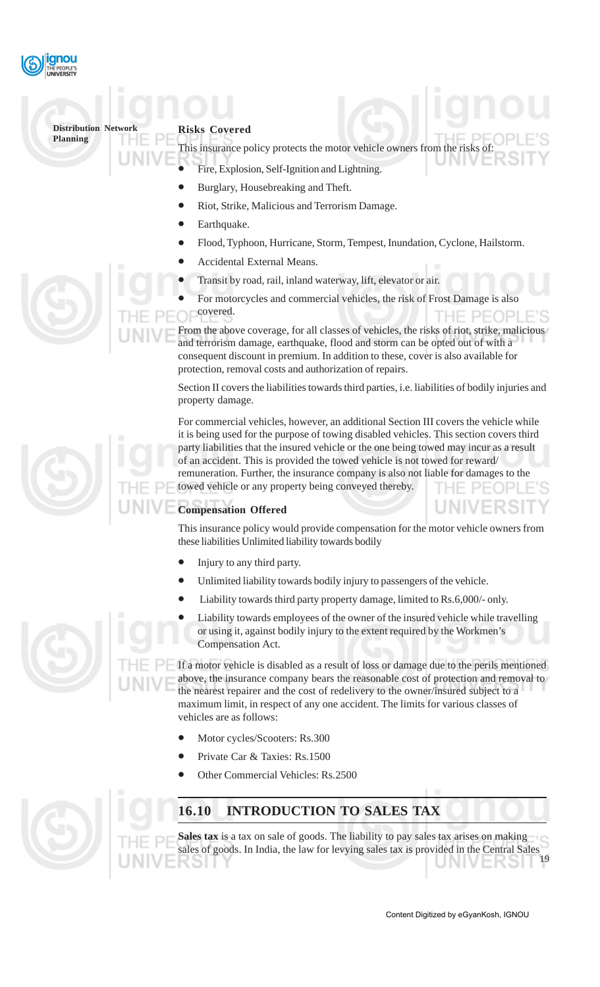

### **Risks Covered**

This insurance policy protects the motor vehicle owners from the risks of:

- Fire, Explosion, Self-Ignition and Lightning.
- Burglary, Housebreaking and Theft.
- Riot, Strike, Malicious and Terrorism Damage.
- Earthquake.
- Flood, Typhoon, Hurricane, Storm, Tempest, Inundation, Cyclone, Hailstorm.
- Accidental External Means.
- Transit by road, rail, inland waterway, lift, elevator or air.
- For motorcycles and commercial vehicles, the risk of Frost Damage is also covered. HE PEOPI

From the above coverage, for all classes of vehicles, the risks of riot, strike, malicious and terrorism damage, earthquake, flood and storm can be opted out of with a consequent discount in premium. In addition to these, cover is also available for protection, removal costs and authorization of repairs.

Section II covers the liabilities towards third parties, i.e. liabilities of bodily injuries and property damage.

For commercial vehicles, however, an additional Section III covers the vehicle while it is being used for the purpose of towing disabled vehicles. This section covers third party liabilities that the insured vehicle or the one being towed may incur as a result of an accident. This is provided the towed vehicle is not towed for reward/ remuneration. Further, the insurance company is also not liable for damages to the towed vehicle or any property being conveyed thereby.

## **Compensation Offered**

This insurance policy would provide compensation for the motor vehicle owners from these liabilities Unlimited liability towards bodily

- Injury to any third party.
- Unlimited liability towards bodily injury to passengers of the vehicle.
- Liability towards third party property damage, limited to Rs.6,000/- only.
- Liability towards employees of the owner of the insured vehicle while travelling or using it, against bodily injury to the extent required by the Workmen's Compensation Act.

If a motor vehicle is disabled as a result of loss or damage due to the perils mentioned above, the insurance company bears the reasonable cost of protection and removal to the nearest repairer and the cost of redelivery to the owner/insured subject to a maximum limit, in respect of any one accident. The limits for various classes of vehicles are as follows:

- Motor cycles/Scooters: Rs.300
- Private Car & Taxies: Rs.1500
- Other Commercial Vehicles: Rs.2500



## **16.10 INTRODUCTION TO SALES TAX**

19 Sales tax is a tax on sale of goods. The liability to pay sales tax arises on making sales of goods. In India, the law for levying sales tax is provided in the Central Sales



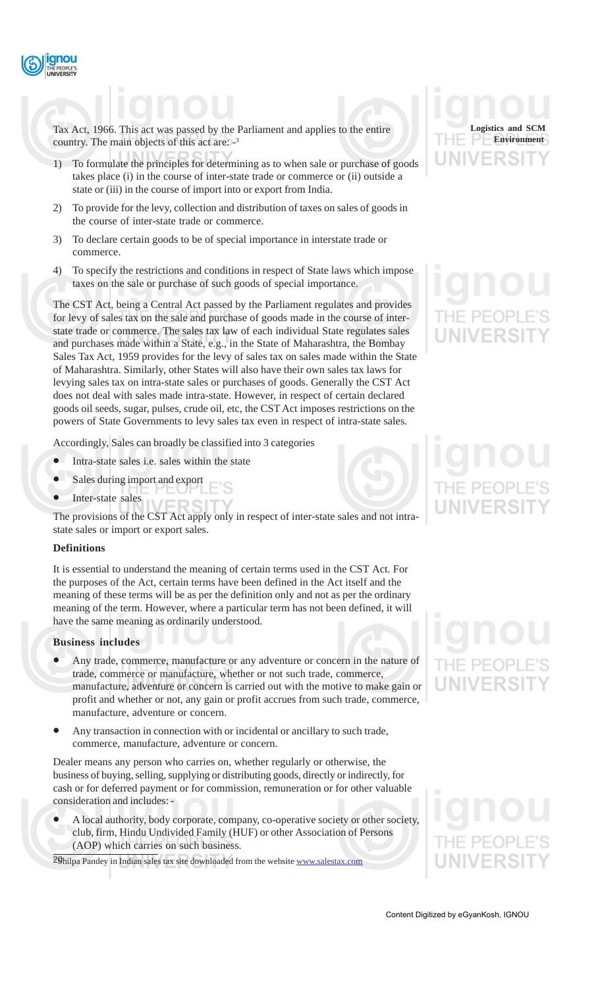

Tax Act, 1966. This act was passed by the Parliament and applies to the entire country. The main objects of this act are: -3

- 1) To formulate the principles for determining as to when sale or purchase of goods takes place (i) in the course of inter-state trade or commerce or (ii) outside a state or (iii) in the course of import into or export from India.
- 2) To provide for the levy, collection and distribution of taxes on sales of goods in the course of inter-state trade or commerce.
- 3) To declare certain goods to be of special importance in interstate trade or commerce.
- 4) To specify the restrictions and conditions in respect of State laws which impose taxes on the sale or purchase of such goods of special importance.

The CST Act, being a Central Act passed by the Parliament regulates and provides for levy of sales tax on the sale and purchase of goods made in the course of interstate trade or commerce. The sales tax law of each individual State regulates sales and purchases made within a State, e.g., in the State of Maharashtra, the Bombay Sales Tax Act, 1959 provides for the levy of sales tax on sales made within the State of Maharashtra. Similarly, other States will also have their own sales tax laws for levying sales tax on intra-state sales or purchases of goods. Generally the CST Act does not deal with sales made intra-state. However, in respect of certain declared goods oil seeds, sugar, pulses, crude oil, etc, the CST Act imposes restrictions on the powers of State Governments to levy sales tax even in respect of intra-state sales.

Accordingly, Sales can broadly be classified into 3 categories

- Intra-state sales i.e. sales within the state
- Sales during import and export
- Inter-state sales

The provisions of the CST Act apply only in respect of inter-state sales and not intrastate sales or import or export sales.

#### **Definitions**

It is essential to understand the meaning of certain terms used in the CST Act. For the purposes of the Act, certain terms have been defined in the Act itself and the meaning of these terms will be as per the definition only and not as per the ordinary meaning of the term. However, where a particular term has not been defined, it will have the same meaning as ordinarily understood.

#### **Business includes**

- Any trade, commerce, manufacture or any adventure or concern in the nature of trade, commerce or manufacture, whether or not such trade, commerce, manufacture, adventure or concern is carried out with the motive to make gain or profit and whether or not, any gain or profit accrues from such trade, commerce, manufacture, adventure or concern.
- Any transaction in connection with or incidental or ancillary to such trade, commerce, manufacture, adventure or concern.

Dealer means any person who carries on, whether regularly or otherwise, the business of buying, selling, supplying or distributing goods, directly or indirectly, for cash or for deferred payment or for commission, remuneration or for other valuable consideration and includes: -

• A local authority, body corporate, company, co-operative society or other society, club, firm, Hindu Undivided Family (HUF) or other Association of Persons (AOP) which carries on such business.

20 Shilpa Pandey in Indian sales tax site downloaded from the website www.salestax.com



# THE PEOP **UNIVERSI**

# HE PEOF

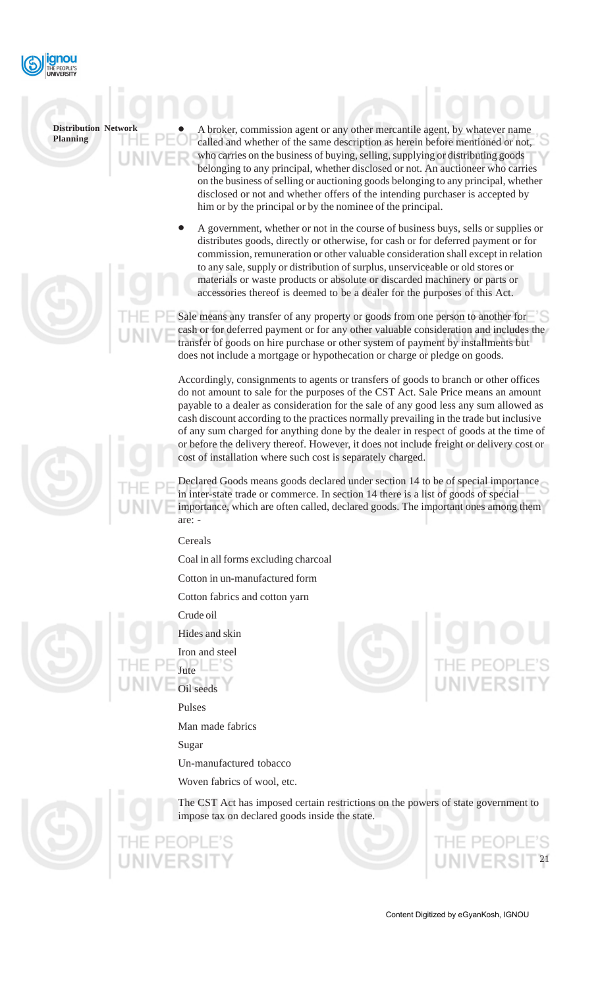

• A broker, commission agent or any other mercantile agent, by whatever name called and whether of the same description as herein before mentioned or not, who carries on the business of buying, selling, supplying or distributing goods belonging to any principal, whether disclosed or not. An auctioneer who carries on the business of selling or auctioning goods belonging to any principal, whether disclosed or not and whether offers of the intending purchaser is accepted by him or by the principal or by the nominee of the principal.

• A government, whether or not in the course of business buys, sells or supplies or distributes goods, directly or otherwise, for cash or for deferred payment or for commission, remuneration or other valuable consideration shall except in relation to any sale, supply or distribution of surplus, unserviceable or old stores or materials or waste products or absolute or discarded machinery or parts or accessories thereof is deemed to be a dealer for the purposes of this Act.

Sale means any transfer of any property or goods from one person to another for cash or for deferred payment or for any other valuable consideration and includes the transfer of goods on hire purchase or other system of payment by installments but does not include a mortgage or hypothecation or charge or pledge on goods.

Accordingly, consignments to agents or transfers of goods to branch or other offices do not amount to sale for the purposes of the CST Act. Sale Price means an amount payable to a dealer as consideration for the sale of any good less any sum allowed as cash discount according to the practices normally prevailing in the trade but inclusive of any sum charged for anything done by the dealer in respect of goods at the time of or before the delivery thereof. However, it does not include freight or delivery cost or cost of installation where such cost is separately charged.

Declared Goods means goods declared under section 14 to be of special importance in inter-state trade or commerce. In section 14 there is a list of goods of special importance, which are often called, declared goods. The important ones among them are: -

Cereals

Coal in all forms excluding charcoal

Cotton in un-manufactured form

Cotton fabrics and cotton yarn

Crude oil



Hides and skin Iron and steel Jute

Oil seeds

Pulses

Man made fabrics

Sugar

Un-manufactured tobacco

Woven fabrics of wool, etc.



The CST Act has imposed certain restrictions on the powers of state government to impose tax on declared goods inside the state.



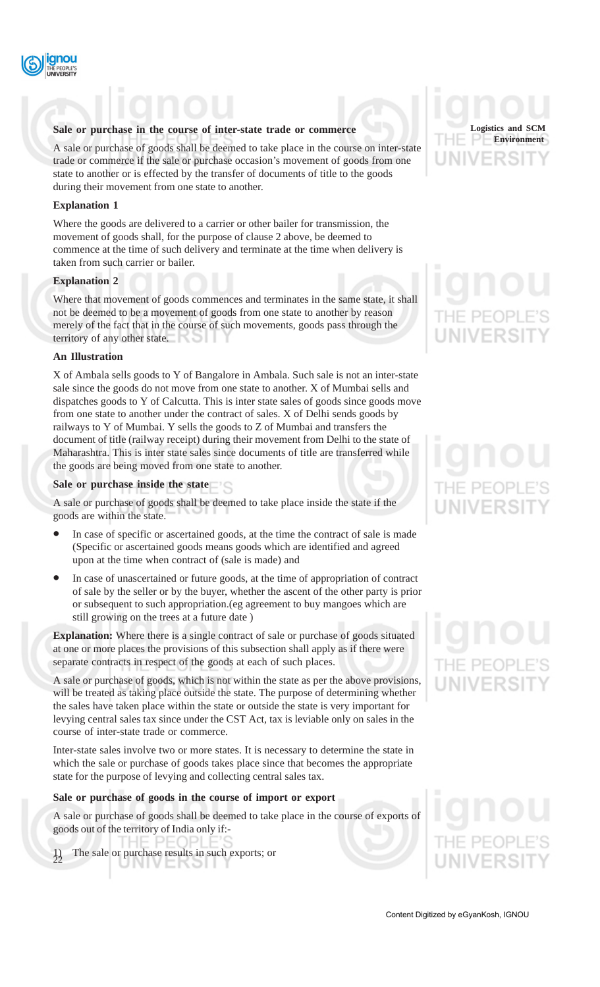

#### **Sale or purchase in the course of inter-state trade or commerce**

A sale or purchase of goods shall be deemed to take place in the course on inter-state trade or commerce if the sale or purchase occasion's movement of goods from one state to another or is effected by the transfer of documents of title to the goods during their movement from one state to another.

#### **Explanation 1**

Where the goods are delivered to a carrier or other bailer for transmission, the movement of goods shall, for the purpose of clause 2 above, be deemed to commence at the time of such delivery and terminate at the time when delivery is taken from such carrier or bailer.

#### **Explanation 2**

Where that movement of goods commences and terminates in the same state, it shall not be deemed to be a movement of goods from one state to another by reason merely of the fact that in the course of such movements, goods pass through the territory of any other state.

#### **An Illustration**

X of Ambala sells goods to Y of Bangalore in Ambala. Such sale is not an inter-state sale since the goods do not move from one state to another. X of Mumbai sells and dispatches goods to Y of Calcutta. This is inter state sales of goods since goods move from one state to another under the contract of sales. X of Delhi sends goods by railways to Y of Mumbai. Y sells the goods to Z of Mumbai and transfers the document of title (railway receipt) during their movement from Delhi to the state of Maharashtra. This is inter state sales since documents of title are transferred while the goods are being moved from one state to another.

#### **Sale or purchase inside the state**

A sale or purchase of goods shall be deemed to take place inside the state if the goods are within the state.

- In case of specific or ascertained goods, at the time the contract of sale is made (Specific or ascertained goods means goods which are identified and agreed upon at the time when contract of (sale is made) and
- In case of unascertained or future goods, at the time of appropriation of contract of sale by the seller or by the buyer, whether the ascent of the other party is prior or subsequent to such appropriation.(eg agreement to buy mangoes which are still growing on the trees at a future date )

**Explanation:** Where there is a single contract of sale or purchase of goods situated at one or more places the provisions of this subsection shall apply as if there were separate contracts in respect of the goods at each of such places.

A sale or purchase of goods, which is not within the state as per the above provisions, will be treated as taking place outside the state. The purpose of determining whether the sales have taken place within the state or outside the state is very important for levying central sales tax since under the CST Act, tax is leviable only on sales in the course of inter-state trade or commerce.

Inter-state sales involve two or more states. It is necessary to determine the state in which the sale or purchase of goods takes place since that becomes the appropriate state for the purpose of levying and collecting central sales tax.

#### **Sale or purchase of goods in the course of import or export**

A sale or purchase of goods shall be deemed to take place in the course of exports of goods out of the territory of India only if:-

 $\Box$ The sale or purchase results in such exports; or 22 **JNIVEROLL** 

**Logistics and SCM Environment**

# IE PEC

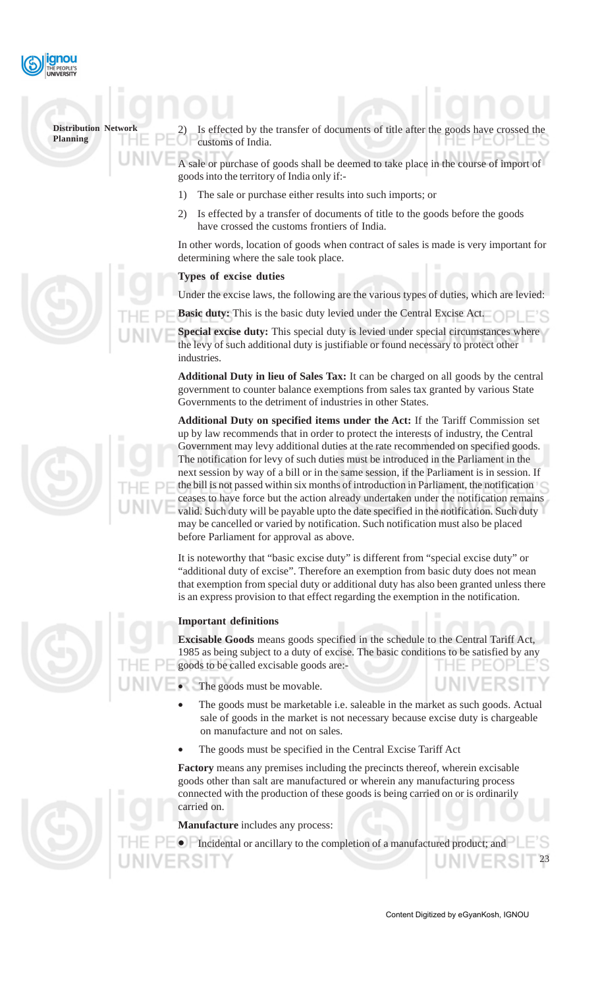

Is effected by the transfer of documents of title after the goods have customs of India.

A sale or purchase of goods shall be deemed to take place in the course of import of goods into the territory of India only if:-

- 1) The sale or purchase either results into such imports; or
- 2) Is effected by a transfer of documents of title to the goods before the goods have crossed the customs frontiers of India.

In other words, location of goods when contract of sales is made is very important for determining where the sale took place.

#### **Types of excise duties**

Under the excise laws, the following are the various types of duties, which are levied:

**Basic duty:** This is the basic duty levied under the Central Excise Act.

**Special excise duty:** This special duty is levied under special circumstances where the levy of such additional duty is justifiable or found necessary to protect other industries.

**Additional Duty in lieu of Sales Tax:** It can be charged on all goods by the central government to counter balance exemptions from sales tax granted by various State Governments to the detriment of industries in other States.

**Additional Duty on specified items under the Act:** If the Tariff Commission set up by law recommends that in order to protect the interests of industry, the Central Government may levy additional duties at the rate recommended on specified goods. The notification for levy of such duties must be introduced in the Parliament in the next session by way of a bill or in the same session, if the Parliament is in session. If the bill is not passed within six months of introduction in Parliament, the notification ceases to have force but the action already undertaken under the notification remains valid. Such duty will be payable upto the date specified in the notification. Such duty may be cancelled or varied by notification. Such notification must also be placed before Parliament for approval as above.

It is noteworthy that "basic excise duty" is different from "special excise duty" or "additional duty of excise". Therefore an exemption from basic duty does not mean that exemption from special duty or additional duty has also been granted unless there is an express provision to that effect regarding the exemption in the notification.

### **Important definitions**

**Excisable Goods** means goods specified in the schedule to the Central Tariff Act, 1985 as being subject to a duty of excise. The basic conditions to be satisfied by any goods to be called excisable goods are:-

The goods must be movable.

- The goods must be marketable i.e. saleable in the market as such goods. Actual sale of goods in the market is not necessary because excise duty is chargeable on manufacture and not on sales.
- The goods must be specified in the Central Excise Tariff Act

**Factory** means any premises including the precincts thereof, wherein excisable goods other than salt are manufactured or wherein any manufacturing process connected with the production of these goods is being carried on or is ordinarily carried on.

**Manufacture** includes any process:

• Incidental or ancillary to the completion of a manufactured product; and

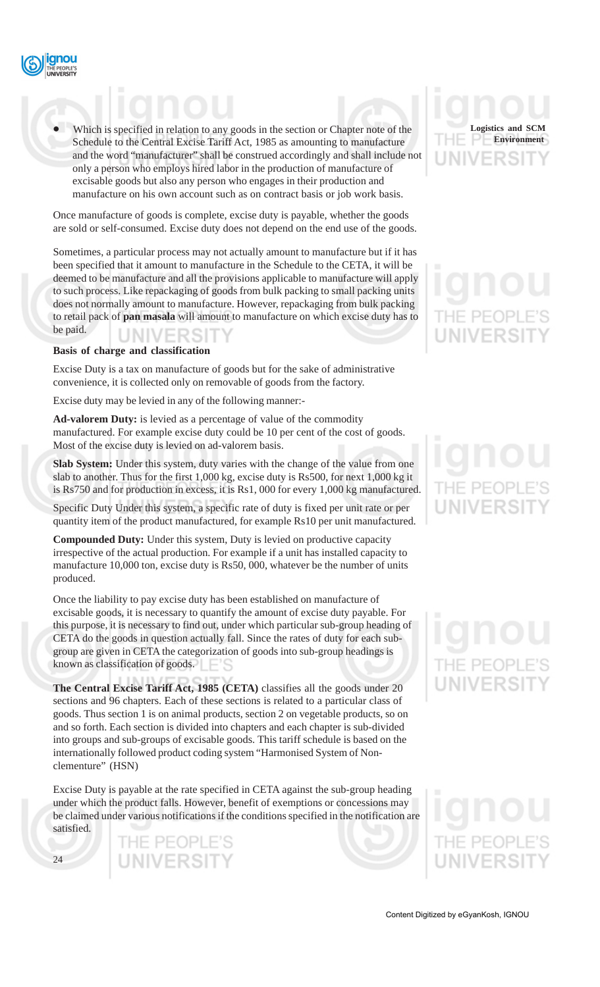

Which is specified in relation to any goods in the section or Chapter note of the Schedule to the Central Excise Tariff Act, 1985 as amounting to manufacture and the word "manufacturer" shall be construed accordingly and shall include not only a person who employs hired labor in the production of manufacture of excisable goods but also any person who engages in their production and manufacture on his own account such as on contract basis or job work basis.

Once manufacture of goods is complete, excise duty is payable, whether the goods are sold or self-consumed. Excise duty does not depend on the end use of the goods.

Sometimes, a particular process may not actually amount to manufacture but if it has been specified that it amount to manufacture in the Schedule to the CETA, it will be deemed to be manufacture and all the provisions applicable to manufacture will apply to such process. Like repackaging of goods from bulk packing to small packing units does not normally amount to manufacture. However, repackaging from bulk packing to retail pack of **pan masala** will amount to manufacture on which excise duty has to be paid.

#### **Basis of charge and classification**

Excise Duty is a tax on manufacture of goods but for the sake of administrative convenience, it is collected only on removable of goods from the factory.

Excise duty may be levied in any of the following manner:-

**Ad-valorem Duty:** is levied as a percentage of value of the commodity manufactured. For example excise duty could be 10 per cent of the cost of goods. Most of the excise duty is levied on ad-valorem basis.

**Slab System:** Under this system, duty varies with the change of the value from one slab to another. Thus for the first 1,000 kg, excise duty is Rs500, for next 1,000 kg it is Rs750 and for production in excess, it is Rs1, 000 for every 1,000 kg manufactured.

Specific Duty Under this system, a specific rate of duty is fixed per unit rate or per quantity item of the product manufactured, for example Rs10 per unit manufactured.

**Compounded Duty:** Under this system, Duty is levied on productive capacity irrespective of the actual production. For example if a unit has installed capacity to manufacture 10,000 ton, excise duty is Rs50, 000, whatever be the number of units produced.

Once the liability to pay excise duty has been established on manufacture of excisable goods, it is necessary to quantify the amount of excise duty payable. For this purpose, it is necessary to find out, under which particular sub-group heading of CETA do the goods in question actually fall. Since the rates of duty for each subgroup are given in CETA the categorization of goods into sub-group headings is known as classification of goods.

**The Central Excise Tariff Act, 1985 (CETA)** classifies all the goods under 20 sections and 96 chapters. Each of these sections is related to a particular class of goods. Thus section 1 is on animal products, section 2 on vegetable products, so on and so forth. Each section is divided into chapters and each chapter is sub-divided into groups and sub-groups of excisable goods. This tariff schedule is based on the internationally followed product coding system "Harmonised System of Nonclementure" (HSN)

Excise Duty is payable at the rate specified in CETA against the sub-group heading under which the product falls. However, benefit of exemptions or concessions may be claimed under various notifications if the conditions specified in the notification are satisfied.

> THE PEOPLE'S **UNIVERSIT**



# UNIVERSIT

# IE PEOP

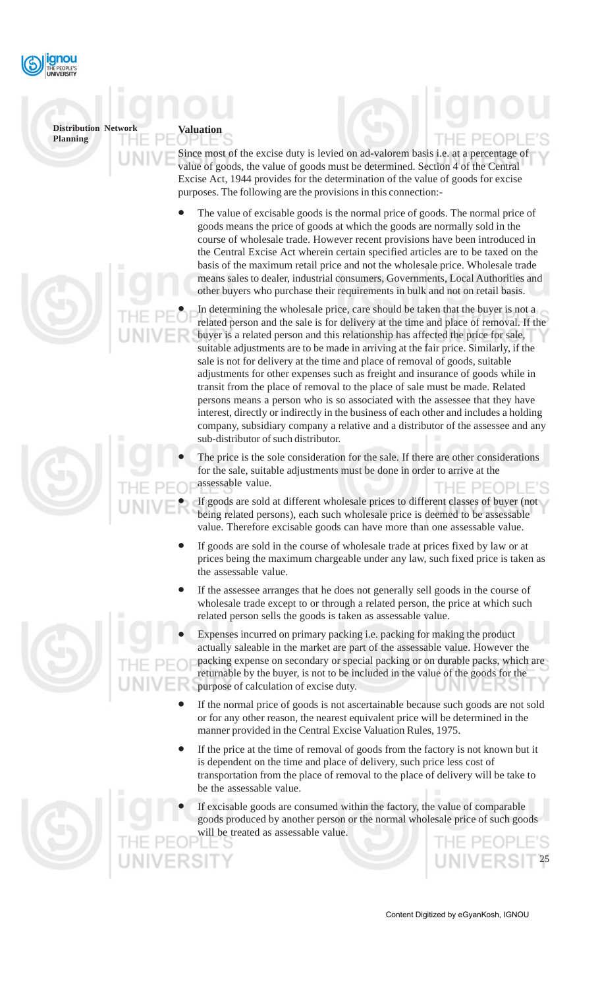

**Valuation**

Since most of the excise duty is levied on ad-valorem basis i.e. at a percentage of value of goods, the value of goods must be determined. Section 4 of the Central Excise Act, 1944 provides for the determination of the value of goods for excise purposes. The following are the provisions in this connection:-

- The value of excisable goods is the normal price of goods. The normal price of goods means the price of goods at which the goods are normally sold in the course of wholesale trade. However recent provisions have been introduced in the Central Excise Act wherein certain specified articles are to be taxed on the basis of the maximum retail price and not the wholesale price. Wholesale trade means sales to dealer, industrial consumers, Governments, Local Authorities and other buyers who purchase their requirements in bulk and not on retail basis.
	- In determining the wholesale price, care should be taken that the buyer is not a related person and the sale is for delivery at the time and place of removal. If the buyer is a related person and this relationship has affected the price for sale, suitable adjustments are to be made in arriving at the fair price. Similarly, if the sale is not for delivery at the time and place of removal of goods, suitable adjustments for other expenses such as freight and insurance of goods while in transit from the place of removal to the place of sale must be made. Related persons means a person who is so associated with the assessee that they have interest, directly or indirectly in the business of each other and includes a holding company, subsidiary company a relative and a distributor of the assessee and any sub-distributor of such distributor.
- The price is the sole consideration for the sale. If there are other considerations for the sale, suitable adjustments must be done in order to arrive at the assessable value.
	- If goods are sold at different wholesale prices to different classes of buyer (not being related persons), each such wholesale price is deemed to be assessable value. Therefore excisable goods can have more than one assessable value.
- If goods are sold in the course of wholesale trade at prices fixed by law or at prices being the maximum chargeable under any law, such fixed price is taken as the assessable value.
- If the assessee arranges that he does not generally sell goods in the course of wholesale trade except to or through a related person, the price at which such related person sells the goods is taken as assessable value.
- Expenses incurred on primary packing i.e. packing for making the product actually saleable in the market are part of the assessable value. However the packing expense on secondary or special packing or on durable packs, which are returnable by the buyer, is not to be included in the value of the goods for the purpose of calculation of excise duty.
- If the normal price of goods is not ascertainable because such goods are not sold or for any other reason, the nearest equivalent price will be determined in the manner provided in the Central Excise Valuation Rules, 1975.
- If the price at the time of removal of goods from the factory is not known but it is dependent on the time and place of delivery, such price less cost of transportation from the place of removal to the place of delivery will be take to be the assessable value.
- If excisable goods are consumed within the factory, the value of comparable goods produced by another person or the normal wholesale price of such goods will be treated as assessable value.





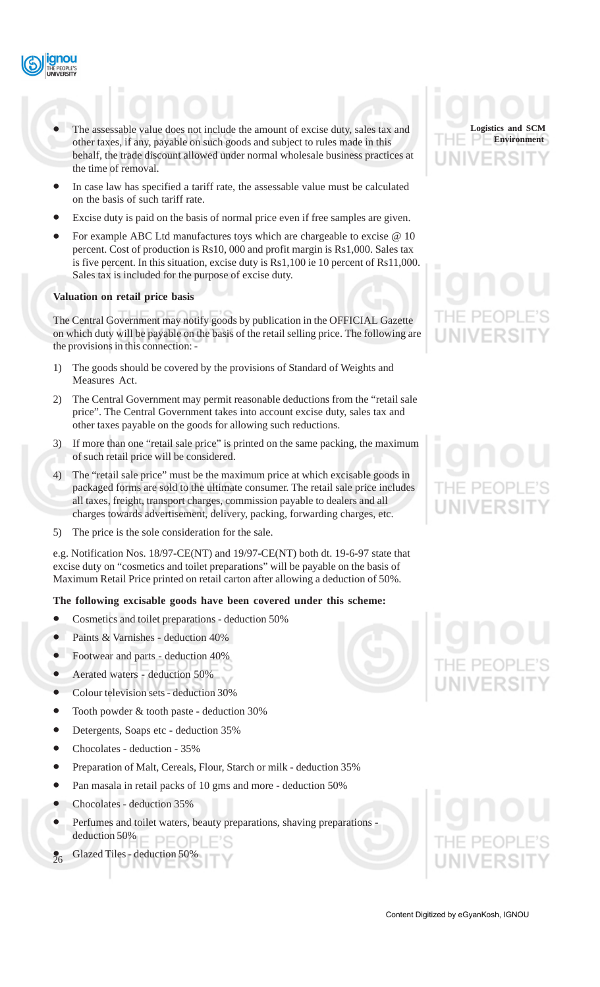

- The assessable value does not include the amount of excise duty, sales tax and other taxes, if any, payable on such goods and subject to rules made in this behalf, the trade discount allowed under normal wholesale business practices at the time of removal.
- In case law has specified a tariff rate, the assessable value must be calculated on the basis of such tariff rate.
- Excise duty is paid on the basis of normal price even if free samples are given.
- For example ABC Ltd manufactures toys which are chargeable to excise @ 10 percent. Cost of production is Rs10, 000 and profit margin is Rs1,000. Sales tax is five percent. In this situation, excise duty is Rs1,100 ie 10 percent of Rs11,000. Sales tax is included for the purpose of excise duty.

#### **Valuation on retail price basis**

The Central Government may notify goods by publication in the OFFICIAL Gazette on which duty will be payable on the basis of the retail selling price. The following are the provisions in this connection: -

- 1) The goods should be covered by the provisions of Standard of Weights and Measures Act.
- 2) The Central Government may permit reasonable deductions from the "retail sale price". The Central Government takes into account excise duty, sales tax and other taxes payable on the goods for allowing such reductions.
- 3) If more than one "retail sale price" is printed on the same packing, the maximum of such retail price will be considered.
- 4) The "retail sale price" must be the maximum price at which excisable goods in packaged forms are sold to the ultimate consumer. The retail sale price includes all taxes, freight, transport charges, commission payable to dealers and all charges towards advertisement, delivery, packing, forwarding charges, etc.
- 5) The price is the sole consideration for the sale.

e.g. Notification Nos. 18/97-CE(NT) and 19/97-CE(NT) both dt. 19-6-97 state that excise duty on "cosmetics and toilet preparations" will be payable on the basis of Maximum Retail Price printed on retail carton after allowing a deduction of 50%.

#### **The following excisable goods have been covered under this scheme:**

- Cosmetics and toilet preparations deduction 50%
- Paints & Varnishes deduction 40%
- Footwear and parts deduction 40%
- Aerated waters deduction 50%
- Colour television sets deduction 30%
- Tooth powder & tooth paste deduction 30%
- Detergents, Soaps etc deduction 35%
- Chocolates deduction 35%
- Preparation of Malt, Cereals, Flour, Starch or milk deduction 35%
- Pan masala in retail packs of 10 gms and more deduction 50%
- Chocolates deduction 35%

 $\frac{1}{26}$ 

• Perfumes and toilet waters, beauty preparations, shaving preparations deduction 50% PFOPI

• Glazed Tiles - deduction 50%





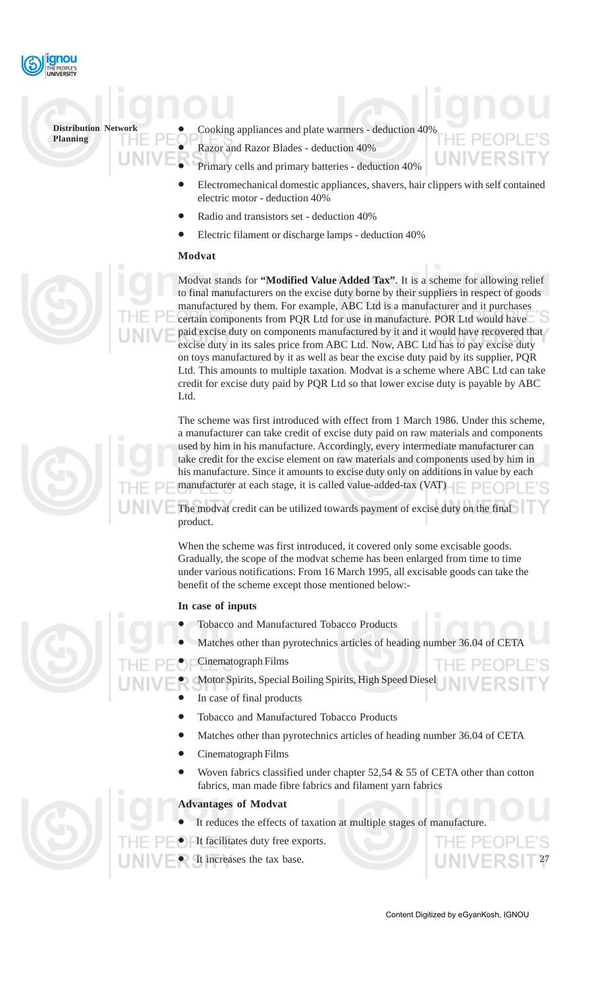

- Cooking appliances and plate warmers deduction 40%
	- Razor and Razor Blades deduction 40%
	- Primary cells and primary batteries deduction 40%
		- Electromechanical domestic appliances, shavers, hair clippers with self contained electric motor - deduction 40%
	- Radio and transistors set deduction 40%
	- Electric filament or discharge lamps deduction 40%

#### **Modvat**

Modvat stands for **"Modified Value Added Tax"**. It is a scheme for allowing relief to final manufacturers on the excise duty borne by their suppliers in respect of goods manufactured by them. For example, ABC Ltd is a manufacturer and it purchases certain components from PQR Ltd for use in manufacture. POR Ltd would have paid excise duty on components manufactured by it and it would have recovered that excise duty in its sales price from ABC Ltd. Now, ABC Ltd has to pay excise duty on toys manufactured by it as well as bear the excise duty paid by its supplier, PQR Ltd. This amounts to multiple taxation. Modvat is a scheme where ABC Ltd can take credit for excise duty paid by PQR Ltd so that lower excise duty is payable by ABC Ltd.

The scheme was first introduced with effect from 1 March 1986. Under this scheme, a manufacturer can take credit of excise duty paid on raw materials and components used by him in his manufacture. Accordingly, every intermediate manufacturer can take credit for the excise element on raw materials and components used by him in his manufacture. Since it amounts to excise duty only on additions in value by each manufacturer at each stage, it is called value-added-tax (VAT)

The modvat credit can be utilized towards payment of excise duty on the final product.

When the scheme was first introduced, it covered only some excisable goods. Gradually, the scope of the modvat scheme has been enlarged from time to time under various notifications. From 16 March 1995, all excisable goods can take the benefit of the scheme except those mentioned below:-

#### **In case of inputs**

- Tobacco and Manufactured Tobacco Products
- Matches other than pyrotechnics articles of heading number 36.04 of CET
- Cinematograph Films
	- Motor Spirits, Special Boiling Spirits, High Speed Diesel
		- In case of final products
		- Tobacco and Manufactured Tobacco Products
		- Matches other than pyrotechnics articles of heading number 36.04 of CETA
		- Cinematograph Films
		- Woven fabrics classified under chapter  $52,54 \& 55$  of CETA other than cotton fabrics, man made fibre fabrics and filament yarn fabrics

#### **Advantages of Modvat**

- It reduces the effects of taxation at multiple stages of manufacture.
- It facilitates duty free exports.
- It increases the tax base.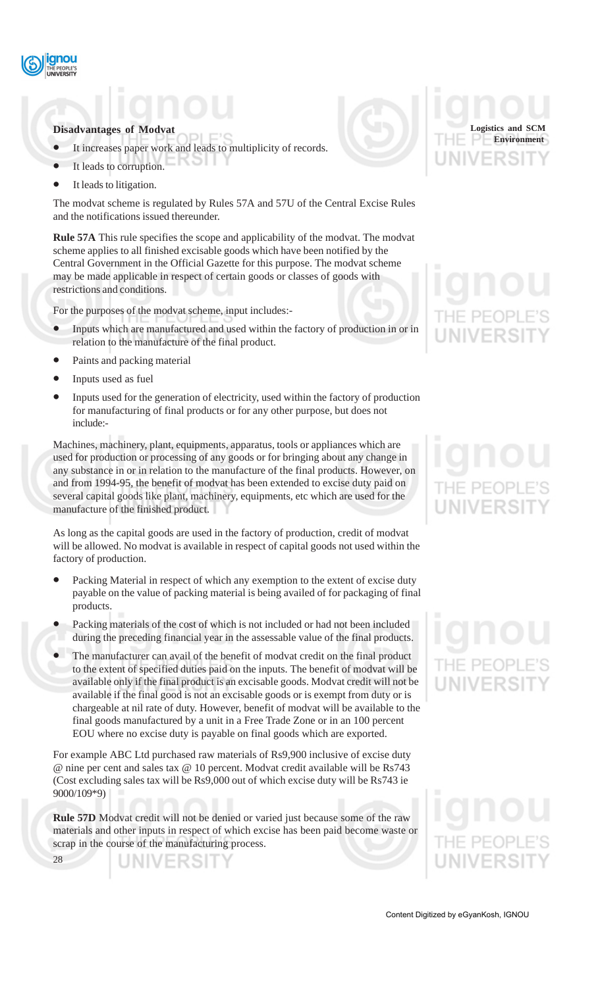

#### **Disadvantages of Modvat**

- It increases paper work and leads to multiplicity of records.
- It leads to corruption.
- It leads to litigation.

The modvat scheme is regulated by Rules 57A and 57U of the Central Excise Rules and the notifications issued thereunder.

**Rule 57A** This rule specifies the scope and applicability of the modvat. The modvat scheme applies to all finished excisable goods which have been notified by the Central Government in the Official Gazette for this purpose. The modvat scheme may be made applicable in respect of certain goods or classes of goods with restrictions and conditions.

For the purposes of the modvat scheme, input includes:-

- Inputs which are manufactured and used within the factory of production in or in relation to the manufacture of the final product.
- Paints and packing material
- Inputs used as fuel
- Inputs used for the generation of electricity, used within the factory of production for manufacturing of final products or for any other purpose, but does not include:-

Machines, machinery, plant, equipments, apparatus, tools or appliances which are used for production or processing of any goods or for bringing about any change in any substance in or in relation to the manufacture of the final products. However, on and from 1994-95, the benefit of modvat has been extended to excise duty paid on several capital goods like plant, machinery, equipments, etc which are used for the manufacture of the finished product.

As long as the capital goods are used in the factory of production, credit of modvat will be allowed. No modvat is available in respect of capital goods not used within the factory of production.

- Packing Material in respect of which any exemption to the extent of excise duty payable on the value of packing material is being availed of for packaging of final products.
- Packing materials of the cost of which is not included or had not been included during the preceding financial year in the assessable value of the final products.
- The manufacturer can avail of the benefit of modvat credit on the final product to the extent of specified duties paid on the inputs. The benefit of modvat will be available only if the final product is an excisable goods. Modvat credit will not be available if the final good is not an excisable goods or is exempt from duty or is chargeable at nil rate of duty. However, benefit of modvat will be available to the final goods manufactured by a unit in a Free Trade Zone or in an 100 percent EOU where no excise duty is payable on final goods which are exported.

For example ABC Ltd purchased raw materials of Rs9,900 inclusive of excise duty @ nine per cent and sales tax @ 10 percent. Modvat credit available will be Rs743 (Cost excluding sales tax will be Rs9,000 out of which excise duty will be Rs743 ie 9000/109\*9)

**Rule 57D** Modvat credit will not be denied or varied just because some of the raw materials and other inputs in respect of which excise has been paid become waste or scrap in the course of the manufacturing process.

IN VERSI

28



**Logistics and SCM Environment**

# IE PEO

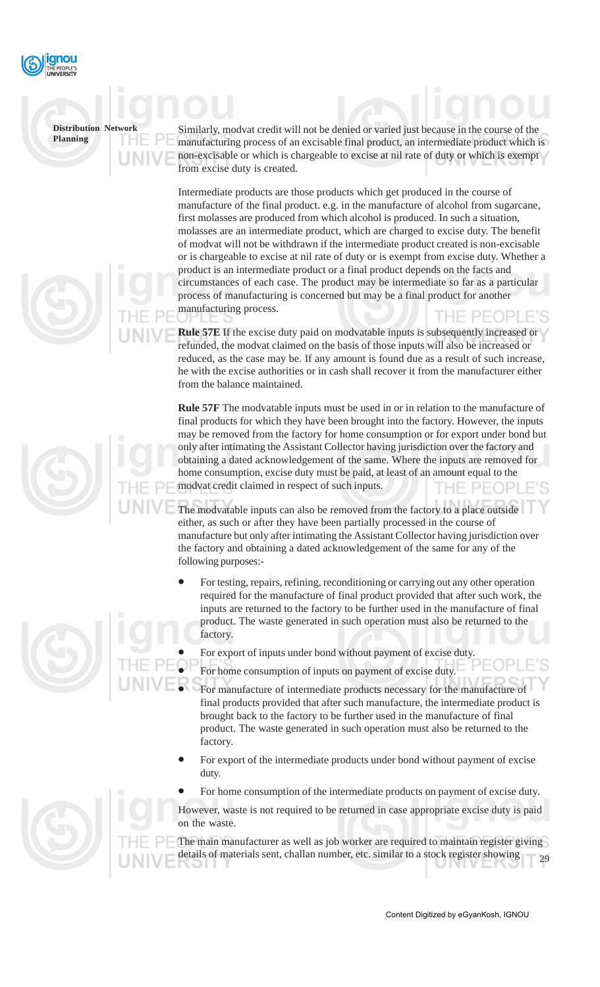

Similarly, modvat credit will not be denied or varied just because in the course of the manufacturing process of an excisable final product, an intermediate product which is non-excisable or which is chargeable to excise at nil rate of duty or which is exempt from excise duty is created.

Intermediate products are those products which get produced in the course of manufacture of the final product. e.g. in the manufacture of alcohol from sugarcane, first molasses are produced from which alcohol is produced. In such a situation, molasses are an intermediate product, which are charged to excise duty. The benefit of modvat will not be withdrawn if the intermediate product created is non-excisable or is chargeable to excise at nil rate of duty or is exempt from excise duty. Whether a product is an intermediate product or a final product depends on the facts and circumstances of each case. The product may be intermediate so far as a particular process of manufacturing is concerned but may be a final product for another manufacturing process.

**Rule 57E** If the excise duty paid on modvatable inputs is subsequently increased or refunded, the modvat claimed on the basis of those inputs will also be increased or reduced, as the case may be. If any amount is found due as a result of such increase, he with the excise authorities or in cash shall recover it from the manufacturer either from the balance maintained.

**Rule 57F** The modvatable inputs must be used in or in relation to the manufacture of final products for which they have been brought into the factory. However, the inputs may be removed from the factory for home consumption or for export under bond but only after intimating the Assistant Collector having jurisdiction over the factory and obtaining a dated acknowledgement of the same. Where the inputs are removed for home consumption, excise duty must be paid, at least of an amount equal to the modvat credit claimed in respect of such inputs.

The modvatable inputs can also be removed from the factory to a place outside either, as such or after they have been partially processed in the course of manufacture but only after intimating the Assistant Collector having jurisdiction over the factory and obtaining a dated acknowledgement of the same for any of the following purposes:-

- For testing, repairs, refining, reconditioning or carrying out any other operation required for the manufacture of final product provided that after such work, the inputs are returned to the factory to be further used in the manufacture of final product. The waste generated in such operation must also be returned to the factory.
- For export of inputs under bond without payment of excise duty.
- For home consumption of inputs on payment of excise duty.
- For manufacture of intermediate products necessary for the manufacture of final products provided that after such manufacture, the intermediate product is brought back to the factory to be further used in the manufacture of final product. The waste generated in such operation must also be returned to the factory.
- For export of the intermediate products under bond without payment of excise duty.
- For home consumption of the intermediate products on payment of excise duty.

However, waste is not required to be returned in case appropriate excise duty is paid on the waste.

29 The main manufacturer as well as job worker are required to maintain register giving details of materials sent, challan number, etc. similar to a stock register showing



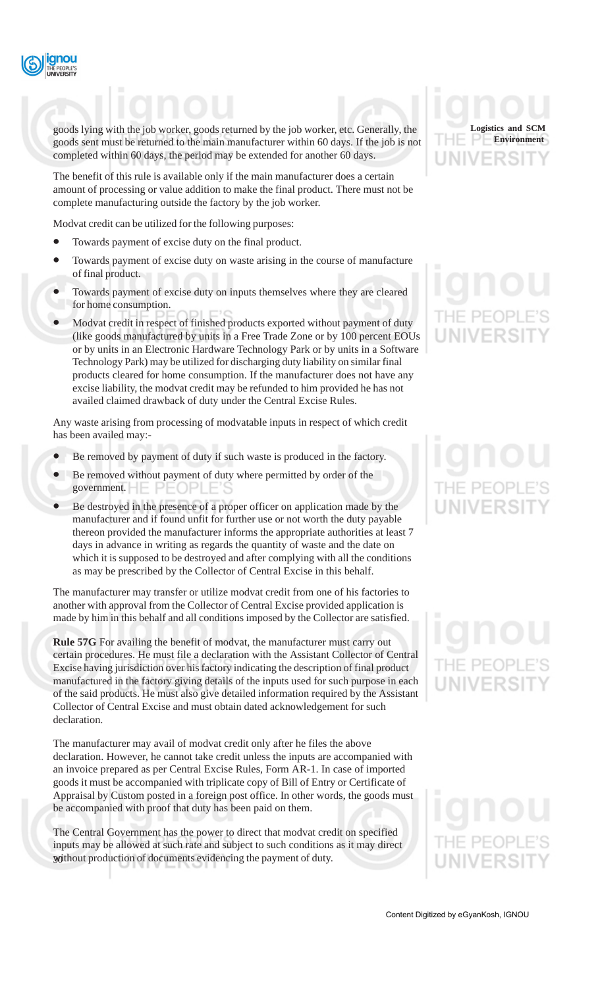

goods lying with the job worker, goods returned by the job worker, etc. Generally, the goods sent must be returned to the main manufacturer within 60 days. If the job is not completed within 60 days, the period may be extended for another 60 days.

The benefit of this rule is available only if the main manufacturer does a certain amount of processing or value addition to make the final product. There must not be complete manufacturing outside the factory by the job worker.

Modvat credit can be utilized for the following purposes:

- Towards payment of excise duty on the final product.
- Towards payment of excise duty on waste arising in the course of manufacture of final product.
- Towards payment of excise duty on inputs themselves where they are cleared for home consumption.
- Modvat credit in respect of finished products exported without payment of duty (like goods manufactured by units in a Free Trade Zone or by 100 percent EOUs or by units in an Electronic Hardware Technology Park or by units in a Software Technology Park) may be utilized for discharging duty liability on similar final products cleared for home consumption. If the manufacturer does not have any excise liability, the modvat credit may be refunded to him provided he has not availed claimed drawback of duty under the Central Excise Rules.

Any waste arising from processing of modvatable inputs in respect of which credit has been availed may:-

- Be removed by payment of duty if such waste is produced in the factory.
- Be removed without payment of duty where permitted by order of the government.
- Be destroyed in the presence of a proper officer on application made by the manufacturer and if found unfit for further use or not worth the duty payable thereon provided the manufacturer informs the appropriate authorities at least 7 days in advance in writing as regards the quantity of waste and the date on which it is supposed to be destroyed and after complying with all the conditions as may be prescribed by the Collector of Central Excise in this behalf.

The manufacturer may transfer or utilize modvat credit from one of his factories to another with approval from the Collector of Central Excise provided application is made by him in this behalf and all conditions imposed by the Collector are satisfied.

**Rule 57G** For availing the benefit of modvat, the manufacturer must carry out certain procedures. He must file a declaration with the Assistant Collector of Central Excise having jurisdiction over his factory indicating the description of final product manufactured in the factory giving details of the inputs used for such purpose in each of the said products. He must also give detailed information required by the Assistant Collector of Central Excise and must obtain dated acknowledgement for such declaration.

The manufacturer may avail of modvat credit only after he files the above declaration. However, he cannot take credit unless the inputs are accompanied with an invoice prepared as per Central Excise Rules, Form AR-1. In case of imported goods it must be accompanied with triplicate copy of Bill of Entry or Certificate of Appraisal by Custom posted in a foreign post office. In other words, the goods must be accompanied with proof that duty has been paid on them.

without production of documents evidencing the payment of duty. The Central Government has the power to direct that modvat credit on specified inputs may be allowed at such rate and subject to such conditions as it may direct



# IF PFO

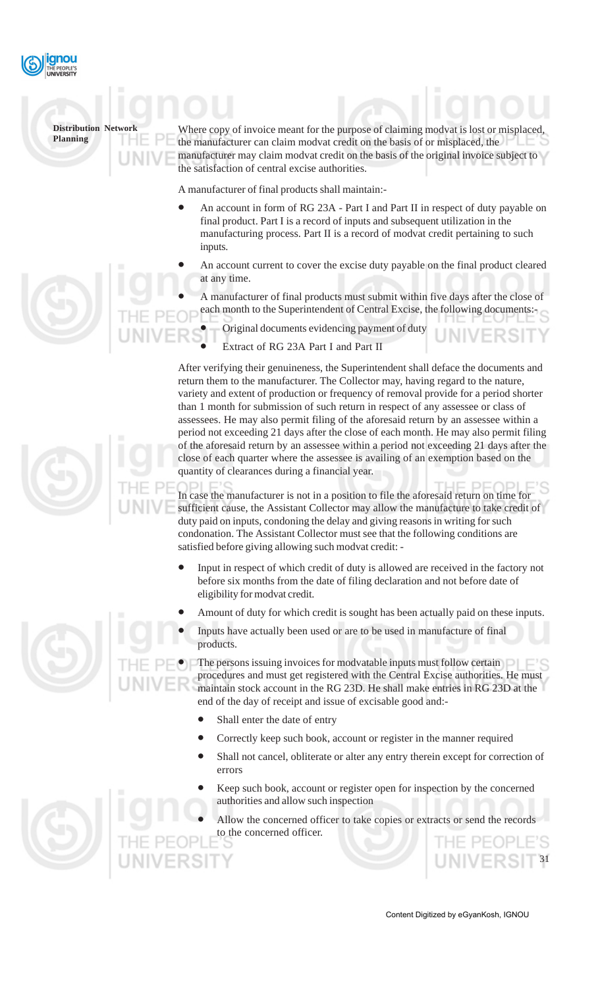

Where copy of invoice meant for the purpose of claiming modvat is lost or misplaced the manufacturer can claim modvat credit on the basis of or misplaced, the manufacturer may claim modvat credit on the basis of the original invoice subject to the satisfaction of central excise authorities.

A manufacturer of final products shall maintain:-

- An account in form of RG 23A Part I and Part II in respect of duty payable on final product. Part I is a record of inputs and subsequent utilization in the manufacturing process. Part II is a record of modvat credit pertaining to such inputs.
- An account current to cover the excise duty payable on the final product cleared at any time.

• A manufacturer of final products must submit within five days after the close of each month to the Superintendent of Central Excise, the following documents:-

• Original documents evidencing payment of duty

Extract of RG 23A Part I and Part II

After verifying their genuineness, the Superintendent shall deface the documents and return them to the manufacturer. The Collector may, having regard to the nature, variety and extent of production or frequency of removal provide for a period shorter than 1 month for submission of such return in respect of any assessee or class of assessees. He may also permit filing of the aforesaid return by an assessee within a period not exceeding 21 days after the close of each month. He may also permit filing of the aforesaid return by an assessee within a period not exceeding 21 days after the close of each quarter where the assessee is availing of an exemption based on the quantity of clearances during a financial year.

In case the manufacturer is not in a position to file the aforesaid return on time for sufficient cause, the Assistant Collector may allow the manufacture to take credit of duty paid on inputs, condoning the delay and giving reasons in writing for such condonation. The Assistant Collector must see that the following conditions are satisfied before giving allowing such modvat credit: -

- Input in respect of which credit of duty is allowed are received in the factory not before six months from the date of filing declaration and not before date of eligibility for modvat credit.
- Amount of duty for which credit is sought has been actually paid on these inputs.
- Inputs have actually been used or are to be used in manufacture of final products.

The persons issuing invoices for modvatable inputs must follow certain  $\Box$ procedures and must get registered with the Central Excise authorities. He must maintain stock account in the RG 23D. He shall make entries in RG 23D at the end of the day of receipt and issue of excisable good and:-

- Shall enter the date of entry
- Correctly keep such book, account or register in the manner required
- Shall not cancel, obliterate or alter any entry therein except for correction of errors
- Keep such book, account or register open for inspection by the concerned authorities and allow such inspection
- Allow the concerned officer to take copies or extracts or send the records to the concerned officer.

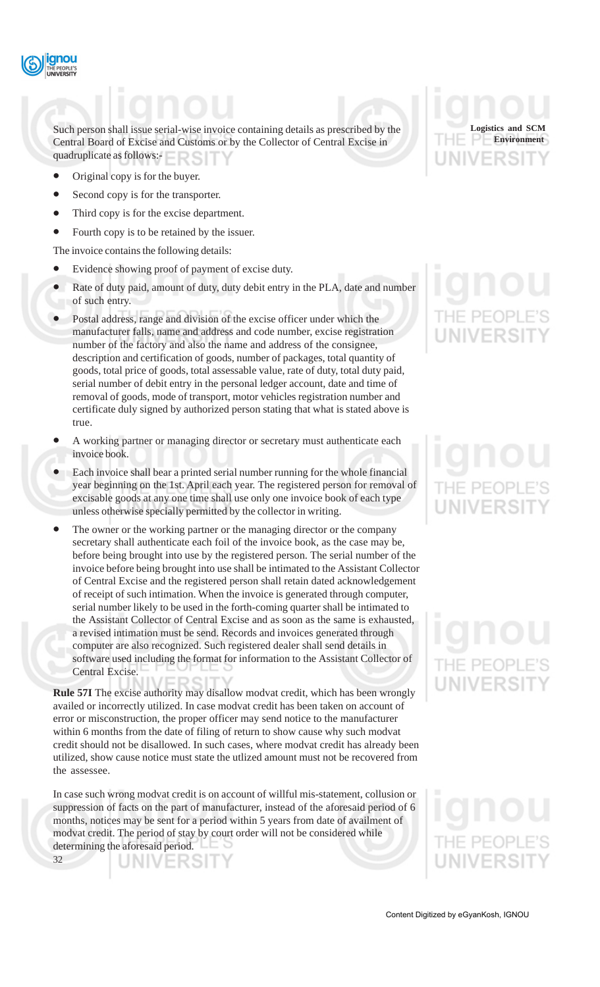

Such person shall issue serial-wise invoice containing details as prescribed by the Central Board of Excise and Customs or by the Collector of Central Excise in quadruplicate as follows:-

- Original copy is for the buyer.
- Second copy is for the transporter.
- Third copy is for the excise department.
- Fourth copy is to be retained by the issuer.

The invoice contains the following details:

- Evidence showing proof of payment of excise duty.
- Rate of duty paid, amount of duty, duty debit entry in the PLA, date and number of such entry.
- Postal address, range and division of the excise officer under which the manufacturer falls, name and address and code number, excise registration number of the factory and also the name and address of the consignee, description and certification of goods, number of packages, total quantity of goods, total price of goods, total assessable value, rate of duty, total duty paid, serial number of debit entry in the personal ledger account, date and time of removal of goods, mode of transport, motor vehicles registration number and certificate duly signed by authorized person stating that what is stated above is true.
- A working partner or managing director or secretary must authenticate each invoice book.
- Each invoice shall bear a printed serial number running for the whole financial year beginning on the 1st. April each year. The registered person for removal of excisable goods at any one time shall use only one invoice book of each type unless otherwise specially permitted by the collector in writing.
- The owner or the working partner or the managing director or the company secretary shall authenticate each foil of the invoice book, as the case may be, before being brought into use by the registered person. The serial number of the invoice before being brought into use shall be intimated to the Assistant Collector of Central Excise and the registered person shall retain dated acknowledgement of receipt of such intimation. When the invoice is generated through computer, serial number likely to be used in the forth-coming quarter shall be intimated to the Assistant Collector of Central Excise and as soon as the same is exhausted, a revised intimation must be send. Records and invoices generated through computer are also recognized. Such registered dealer shall send details in software used including the format for information to the Assistant Collector of Central Excise.

**Rule 57I** The excise authority may disallow modvat credit, which has been wrongly availed or incorrectly utilized. In case modvat credit has been taken on account of error or misconstruction, the proper officer may send notice to the manufacturer within 6 months from the date of filing of return to show cause why such modvat credit should not be disallowed. In such cases, where modvat credit has already been utilized, show cause notice must state the utlized amount must not be recovered from the assessee.

In case such wrong modvat credit is on account of willful mis-statement, collusion or suppression of facts on the part of manufacturer, instead of the aforesaid period of 6 months, notices may be sent for a period within 5 years from date of availment of modvat credit. The period of stay by court order will not be considered while determining the aforesaid period.

32

**Logistics and SCM Environment**

# IF PFO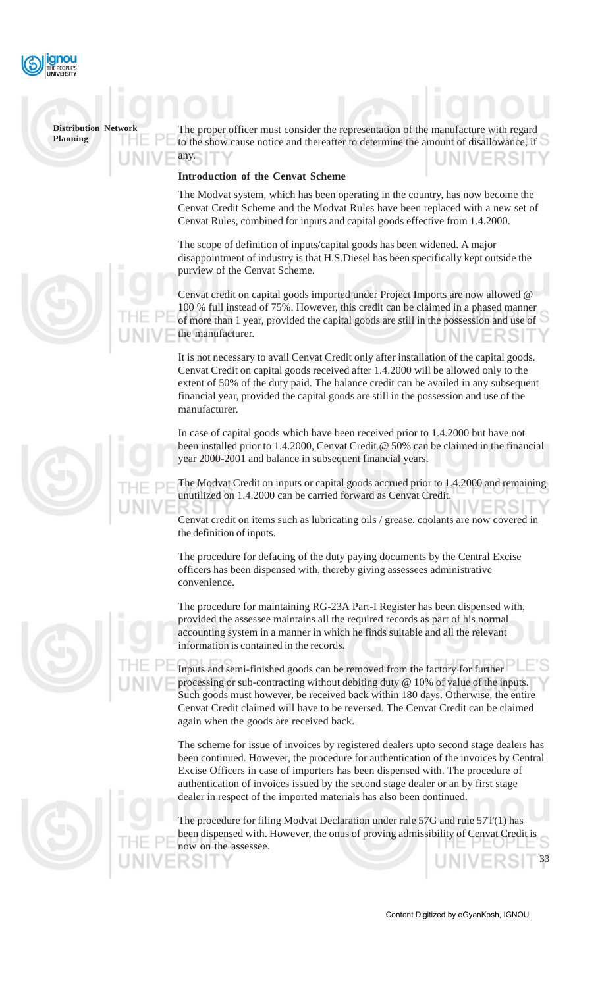

The proper officer must consider the representation of the manufacture to the show cause notice and thereafter to determine the amount of disallowance, if any.

#### **Introduction of the Cenvat Scheme**

The Modvat system, which has been operating in the country, has now become the Cenvat Credit Scheme and the Modvat Rules have been replaced with a new set of Cenvat Rules, combined for inputs and capital goods effective from 1.4.2000.

The scope of definition of inputs/capital goods has been widened. A major disappointment of industry is that H.S.Diesel has been specifically kept outside the purview of the Cenvat Scheme.

Cenvat credit on capital goods imported under Project Imports are now allowed @ 100 % full instead of 75%. However, this credit can be claimed in a phased manner of more than 1 year, provided the capital goods are still in the possession and use of the manufacturer.

It is not necessary to avail Cenvat Credit only after installation of the capital goods. Cenvat Credit on capital goods received after 1.4.2000 will be allowed only to the extent of 50% of the duty paid. The balance credit can be availed in any subsequent financial year, provided the capital goods are still in the possession and use of the manufacturer.

In case of capital goods which have been received prior to 1.4.2000 but have not been installed prior to 1.4.2000, Cenvat Credit @ 50% can be claimed in the financial year 2000-2001 and balance in subsequent financial years.

The Modvat Credit on inputs or capital goods accrued prior to 1.4.2000 and remaining unutilized on 1.4.2000 can be carried forward as Cenvat Credit.

Cenvat credit on items such as lubricating oils / grease, coolants are now covered in the definition of inputs.

The procedure for defacing of the duty paying documents by the Central Excise officers has been dispensed with, thereby giving assessees administrative convenience.

The procedure for maintaining RG-23A Part-I Register has been dispensed with, provided the assessee maintains all the required records as part of his normal accounting system in a manner in which he finds suitable and all the relevant information is contained in the records.

Inputs and semi-finished goods can be removed from the factory for further processing or sub-contracting without debiting duty @ 10% of value of the inputs. Such goods must however, be received back within 180 days. Otherwise, the entire Cenvat Credit claimed will have to be reversed. The Cenvat Credit can be claimed again when the goods are received back.

The scheme for issue of invoices by registered dealers upto second stage dealers has been continued. However, the procedure for authentication of the invoices by Central Excise Officers in case of importers has been dispensed with. The procedure of authentication of invoices issued by the second stage dealer or an by first stage dealer in respect of the imported materials has also been continued.

The procedure for filing Modvat Declaration under rule 57G and rule 57T(1) has been dispensed with. However, the onus of proving admissibility of Cenvat Credit is now on the assessee. रडा 33

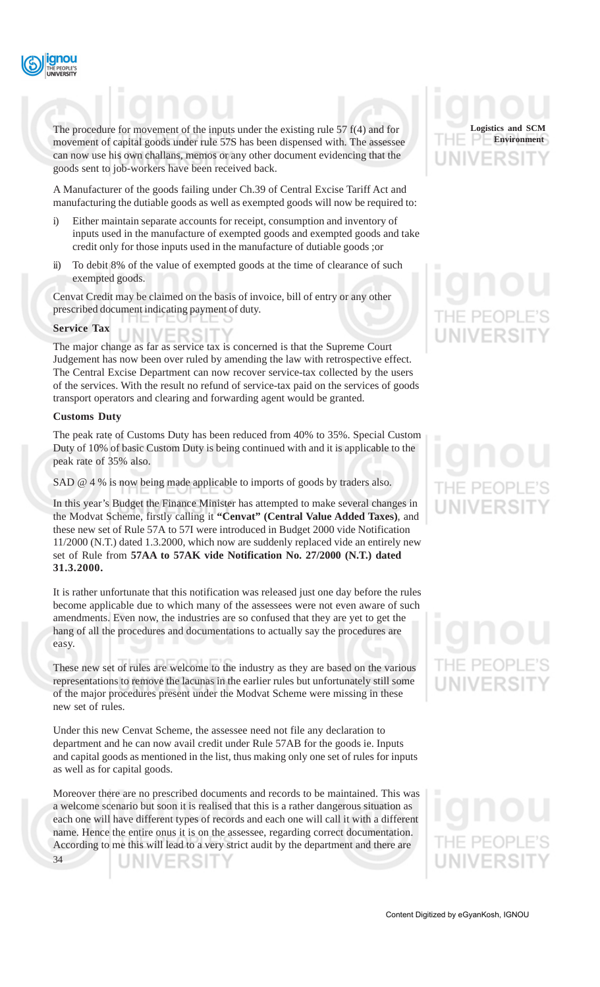

The procedure for movement of the inputs under the existing rule 57 f(4) and for movement of capital goods under rule 57S has been dispensed with. The assessee can now use his own challans, memos or any other document evidencing that the goods sent to job-workers have been received back.

A Manufacturer of the goods failing under Ch.39 of Central Excise Tariff Act and manufacturing the dutiable goods as well as exempted goods will now be required to:

- i) Either maintain separate accounts for receipt, consumption and inventory of inputs used in the manufacture of exempted goods and exempted goods and take credit only for those inputs used in the manufacture of dutiable goods ;or
- ii) To debit 8% of the value of exempted goods at the time of clearance of such exempted goods.

Cenvat Credit may be claimed on the basis of invoice, bill of entry or any other prescribed document indicating payment of duty.

#### **Service Tax**

The major change as far as service tax is concerned is that the Supreme Court Judgement has now been over ruled by amending the law with retrospective effect. The Central Excise Department can now recover service-tax collected by the users of the services. With the result no refund of service-tax paid on the services of goods transport operators and clearing and forwarding agent would be granted.

#### **Customs Duty**

The peak rate of Customs Duty has been reduced from 40% to 35%. Special Custom Duty of 10% of basic Custom Duty is being continued with and it is applicable to the peak rate of 35% also.

SAD @ 4 % is now being made applicable to imports of goods by traders also.

In this year's Budget the Finance Minister has attempted to make several changes in the Modvat Scheme, firstly calling it **"Cenvat" (Central Value Added Taxes)**, and these new set of Rule 57A to 57I were introduced in Budget 2000 vide Notification 11/2000 (N.T.) dated 1.3.2000, which now are suddenly replaced vide an entirely new set of Rule from **57AA to 57AK vide Notification No. 27/2000 (N.T.) dated 31.3.2000.**

It is rather unfortunate that this notification was released just one day before the rules become applicable due to which many of the assessees were not even aware of such amendments. Even now, the industries are so confused that they are yet to get the hang of all the procedures and documentations to actually say the procedures are easy.

These new set of rules are welcome to the industry as they are based on the various representations to remove the lacunas in the earlier rules but unfortunately still some of the major procedures present under the Modvat Scheme were missing in these new set of rules.

Under this new Cenvat Scheme, the assessee need not file any declaration to department and he can now avail credit under Rule 57AB for the goods ie. Inputs and capital goods as mentioned in the list, thus making only one set of rules for inputs as well as for capital goods.

Moreover there are no prescribed documents and records to be maintained. This was a welcome scenario but soon it is realised that this is a rather dangerous situation as each one will have different types of records and each one will call it with a different name. Hence the entire onus it is on the assessee, regarding correct documentation. According to me this will lead to a very strict audit by the department and there are

34

INIVERSIT



# LINIVERSI

# IE PEOP

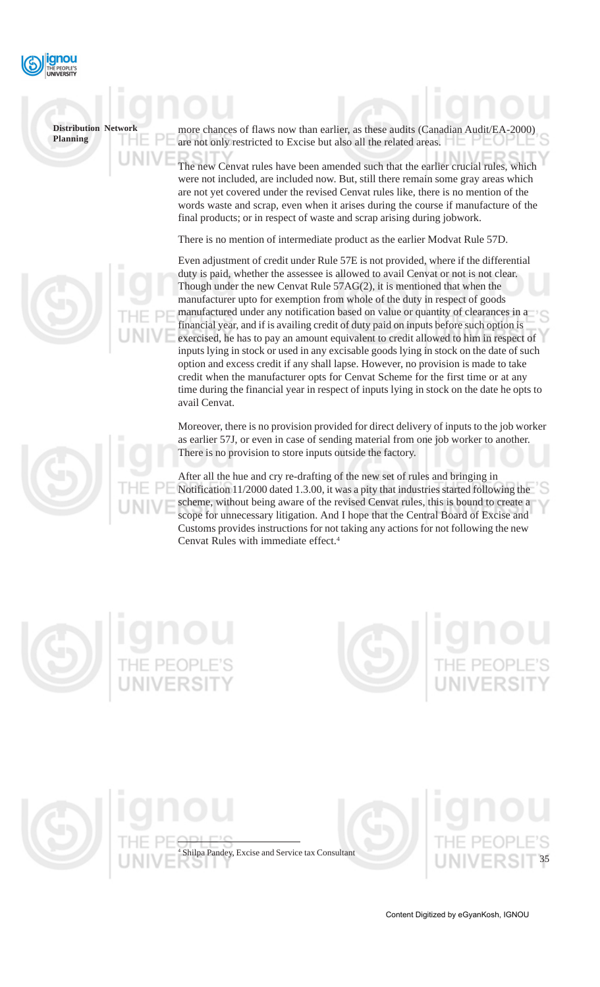

more chances of flaws now than earlier, as these audits (Canadian A are not only restricted to Excise but also all the related areas.

The new Cenvat rules have been amended such that the earlier crucial rules, which were not included, are included now. But, still there remain some gray areas which are not yet covered under the revised Cenvat rules like, there is no mention of the words waste and scrap, even when it arises during the course if manufacture of the final products; or in respect of waste and scrap arising during jobwork.

There is no mention of intermediate product as the earlier Modvat Rule 57D.

Even adjustment of credit under Rule 57E is not provided, where if the differential duty is paid, whether the assessee is allowed to avail Cenvat or not is not clear. Though under the new Cenvat Rule 57AG(2), it is mentioned that when the manufacturer upto for exemption from whole of the duty in respect of goods manufactured under any notification based on value or quantity of clearances in a financial year, and if is availing credit of duty paid on inputs before such option is exercised, he has to pay an amount equivalent to credit allowed to him in respect of inputs lying in stock or used in any excisable goods lying in stock on the date of such option and excess credit if any shall lapse. However, no provision is made to take credit when the manufacturer opts for Cenvat Scheme for the first time or at any time during the financial year in respect of inputs lying in stock on the date he opts to avail Cenvat.

Moreover, there is no provision provided for direct delivery of inputs to the job worker as earlier 57J, or even in case of sending material from one job worker to another. There is no provision to store inputs outside the factory.

After all the hue and cry re-drafting of the new set of rules and bringing in Notification 11/2000 dated 1.3.00, it was a pity that industries started following the scheme, without being aware of the revised Cenvat rules, this is bound to create a scope for unnecessary litigation. And I hope that the Central Board of Excise and Customs provides instructions for not taking any actions for not following the new Cenvat Rules with immediate effect.<sup>4</sup>



4

Shilpa Pandey, Excise and Service tax Consultant

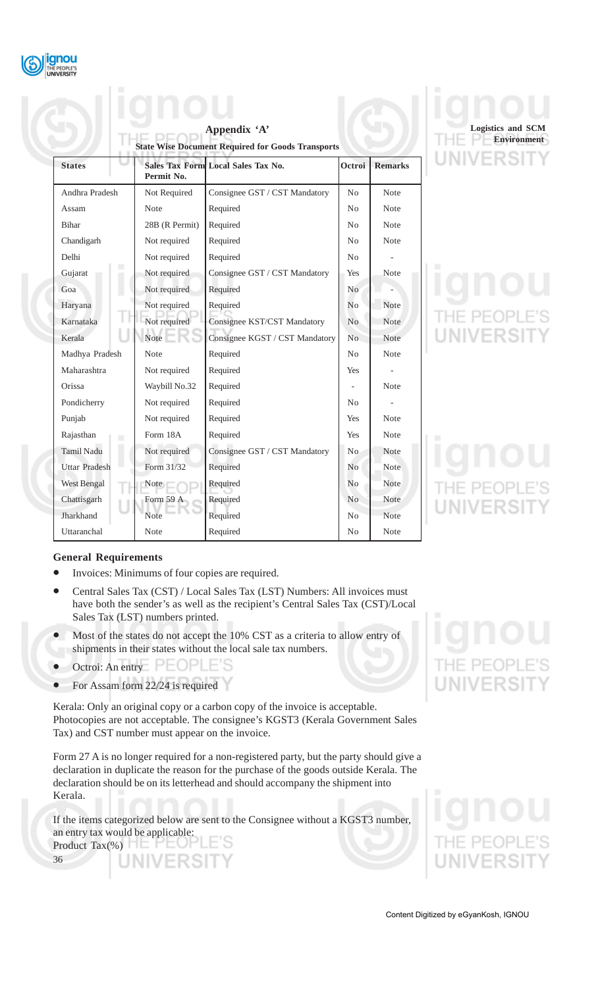

|                      |                | Appendix 'A'<br><b>State Wise Document Required for Goods Transports</b> |                |                |
|----------------------|----------------|--------------------------------------------------------------------------|----------------|----------------|
| <b>States</b>        | Permit No.     | Sales Tax Form Local Sales Tax No.                                       | Octroi         | <b>Remarks</b> |
| Andhra Pradesh       | Not Required   | Consignee GST / CST Mandatory                                            | No             | <b>Note</b>    |
| Assam                | <b>Note</b>    | Required                                                                 | No             | <b>Note</b>    |
| <b>Bihar</b>         | 28B (R Permit) | Required                                                                 | No             | <b>Note</b>    |
| Chandigarh           | Not required   | Required                                                                 | No             | <b>Note</b>    |
| Delhi                | Not required   | Required                                                                 | No             |                |
| Gujarat              | Not required   | Consignee GST / CST Mandatory                                            | Yes            | <b>Note</b>    |
| Goa                  | Not required   | Required                                                                 | N <sub>0</sub> |                |
| Haryana              | Not required   | Required                                                                 | N <sub>0</sub> | <b>Note</b>    |
| Karnataka            | Not required   | Consignee KST/CST Mandatory                                              | N <sub>o</sub> | <b>Note</b>    |
| Kerala               | Note           | Consignee KGST / CST Mandatory                                           | No             | <b>Note</b>    |
| Madhya Pradesh       | <b>Note</b>    | Required                                                                 | No             | <b>Note</b>    |
| Maharashtra          | Not required   | Required                                                                 | <b>Yes</b>     |                |
| Orissa               | Waybill No.32  | Required                                                                 |                | <b>Note</b>    |
| Pondicherry          | Not required   | Required                                                                 | No             |                |
| Punjab               | Not required   | Required                                                                 | <b>Yes</b>     | <b>Note</b>    |
| Rajasthan<br>ш       | Form 18A       | Required                                                                 | <b>Yes</b>     | <b>Note</b>    |
| <b>Tamil Nadu</b>    | Not required   | Consignee GST / CST Mandatory                                            | No             | <b>Note</b>    |
| <b>Uttar Pradesh</b> | Form 31/32     | Required                                                                 | No             | <b>Note</b>    |
| <b>West Bengal</b>   | Note           | Required                                                                 | No             | <b>Note</b>    |
| Chattisgarh          | Form 59 A      | Required                                                                 | No             | <b>Note</b>    |
| Jharkhand            | <b>Note</b>    | Required                                                                 | No             | <b>Note</b>    |
| Uttaranchal          | Note           | Required                                                                 | N <sub>0</sub> | Note           |

# **Logistics and SCM Environment**/ERSI

NIVERSI

IE PEOPI

### **General Requirements**

- Invoices: Minimums of four copies are required.
- Central Sales Tax (CST) / Local Sales Tax (LST) Numbers: All invoices must have both the sender's as well as the recipient's Central Sales Tax (CST)/Local Sales Tax (LST) numbers printed.
- Most of the states do not accept the 10% CST as a criteria to allow entry of shipments in their states without the local sale tax numbers.
- Octroi: An entry  $\mathsf{PEOPLE}$ 'S
- For Assam form 22/24 is required

Kerala: Only an original copy or a carbon copy of the invoice is acceptable. Photocopies are not acceptable. The consignee's KGST3 (Kerala Government Sales Tax) and CST number must appear on the invoice.

Form 27 A is no longer required for a non-registered party, but the party should give a declaration in duplicate the reason for the purchase of the goods outside Kerala. The declaration should be on its letterhead and should accompany the shipment into Kerala.

If the items categorized below are sent to the Consignee without a KGST3 number, an entry tax would be applicable: E'S Product  $\text{Tax}(\%)$ 



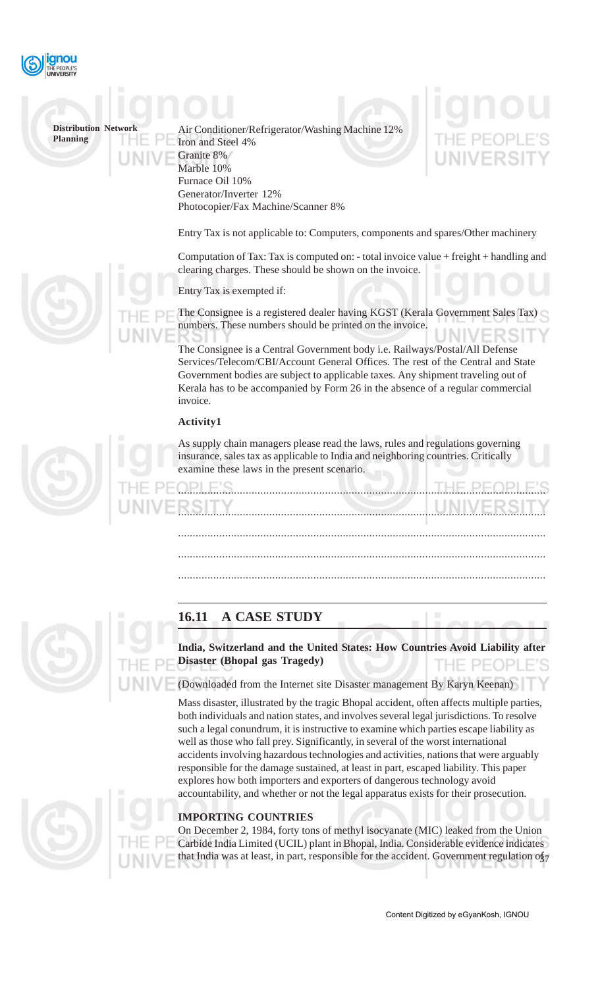

Air Conditioner/Refrigerator/Washing Machine 12% Iron and Steel 4% Granite 8% Marble 10% Furnace Oil 10% Generator/Inverter 12% Photocopier/Fax Machine/Scanner 8%

### Entry Tax is not applicable to: Computers, components and spares/Other machinery

Computation of Tax: Tax is computed on: - total invoice value + freight + handling and clearing charges. These should be shown on the invoice.

Entry Tax is exempted if:

The Consignee is a registered dealer having KGST (Kerala Government Sales Tax) numbers. These numbers should be printed on the invoice.

The Consignee is a Central Government body i.e. Railways/Postal/All Defense Services/Telecom/CBI/Account General Offices. The rest of the Central and State Government bodies are subject to applicable taxes. Any shipment traveling out of Kerala has to be accompanied by Form 26 in the absence of a regular commercial invoice.

#### **Activity1**

As supply chain managers please read the laws, rules and regulations governing insurance, sales tax as applicable to India and neighboring countries. Critically examine these laws in the present scenario.

.............................................................................................................................

.............................................................................................................................

.............................................................................................................................

.............................................................................................................................

.............................................................................................................................

## **16.11 A CASE STUDY**

**India, Switzerland and the United States: How Countries Avoid Liability after Disaster (Bhopal gas Tragedy)** HE PEOPLE'S

(Downloaded from the Internet site Disaster management By Karyn Keenan)

Mass disaster, illustrated by the tragic Bhopal accident, often affects multiple parties, both individuals and nation states, and involves several legal jurisdictions. To resolve such a legal conundrum, it is instructive to examine which parties escape liability as well as those who fall prey. Significantly, in several of the worst international accidents involving hazardous technologies and activities, nations that were arguably responsible for the damage sustained, at least in part, escaped liability. This paper explores how both importers and exporters of dangerous technology avoid accountability, and whether or not the legal apparatus exists for their prosecution.

#### **IMPORTING COUNTRIES**

that India was at least, in part, responsible for the accident. Government regulation of On December 2, 1984, forty tons of methyl isocyanate (MIC) leaked from the Union Carbide India Limited (UCIL) plant in Bhopal, India. Considerable evidence indicates

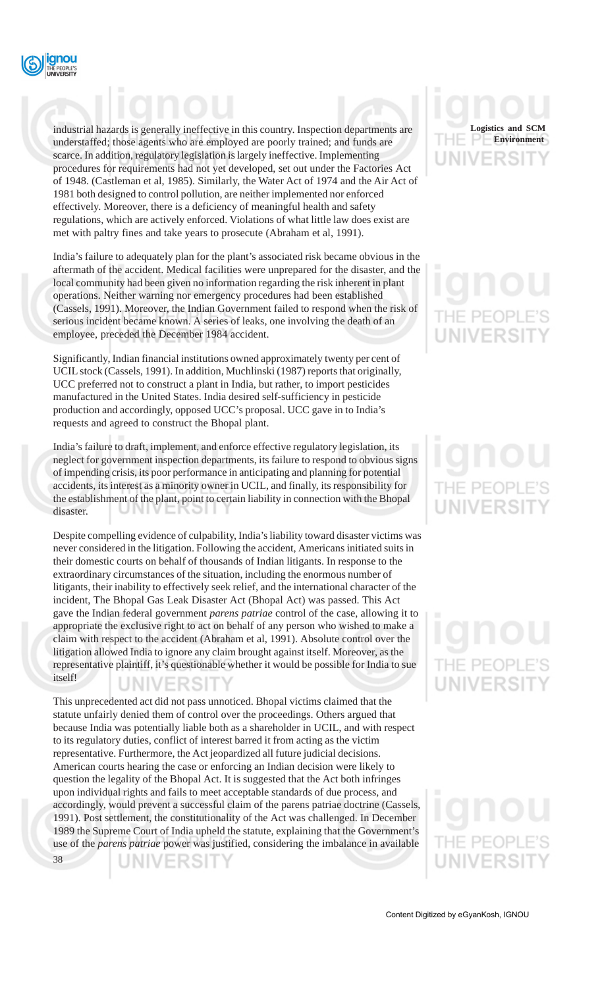

industrial hazards is generally ineffective in this country. Inspection departments are understaffed; those agents who are employed are poorly trained; and funds are scarce. In addition, regulatory legislation is largely ineffective. Implementing procedures for requirements had not yet developed, set out under the Factories Act of 1948. (Castleman et al, 1985). Similarly, the Water Act of 1974 and the Air Act of 1981 both designed to control pollution, are neither implemented nor enforced effectively. Moreover, there is a deficiency of meaningful health and safety regulations, which are actively enforced. Violations of what little law does exist are met with paltry fines and take years to prosecute (Abraham et al, 1991).

India's failure to adequately plan for the plant's associated risk became obvious in the aftermath of the accident. Medical facilities were unprepared for the disaster, and the local community had been given no information regarding the risk inherent in plant operations. Neither warning nor emergency procedures had been established (Cassels, 1991). Moreover, the Indian Government failed to respond when the risk of serious incident became known. A series of leaks, one involving the death of an employee, preceded the December 1984 accident.

Significantly, Indian financial institutions owned approximately twenty per cent of UCIL stock (Cassels, 1991). In addition, Muchlinski (1987) reports that originally, UCC preferred not to construct a plant in India, but rather, to import pesticides manufactured in the United States. India desired self-sufficiency in pesticide production and accordingly, opposed UCC's proposal. UCC gave in to India's requests and agreed to construct the Bhopal plant.

India's failure to draft, implement, and enforce effective regulatory legislation, its neglect for government inspection departments, its failure to respond to obvious signs of impending crisis, its poor performance in anticipating and planning for potential accidents, its interest as a minority owner in UCIL, and finally, its responsibility for the establishment of the plant, point to certain liability in connection with the Bhopal disaster.

Despite compelling evidence of culpability, India's liability toward disaster victims was never considered in the litigation. Following the accident, Americans initiated suits in their domestic courts on behalf of thousands of Indian litigants. In response to the extraordinary circumstances of the situation, including the enormous number of litigants, their inability to effectively seek relief, and the international character of the incident, The Bhopal Gas Leak Disaster Act (Bhopal Act) was passed. This Act gave the Indian federal government *parens patriae* control of the case, allowing it to appropriate the exclusive right to act on behalf of any person who wished to make a claim with respect to the accident (Abraham et al, 1991). Absolute control over the litigation allowed India to ignore any claim brought against itself. Moreover, as the representative plaintiff, it's questionable whether it would be possible for India to sue itself! IN VERSLI

This unprecedented act did not pass unnoticed. Bhopal victims claimed that the statute unfairly denied them of control over the proceedings. Others argued that because India was potentially liable both as a shareholder in UCIL, and with respect to its regulatory duties, conflict of interest barred it from acting as the victim representative. Furthermore, the Act jeopardized all future judicial decisions. American courts hearing the case or enforcing an Indian decision were likely to question the legality of the Bhopal Act. It is suggested that the Act both infringes upon individual rights and fails to meet acceptable standards of due process, and accordingly, would prevent a successful claim of the parens patriae doctrine (Cassels, 1991). Post settlement, the constitutionality of the Act was challenged. In December 1989 the Supreme Court of India upheld the statute, explaining that the Government's use of the *parens patriae* power was justified, considering the imbalance in available

38

**Logistics and SCM Environment**

# THE PEOPI **UNIVERSIT**

# IE PEOP **NIVERSIT**

VERSIT

JNIVERSIT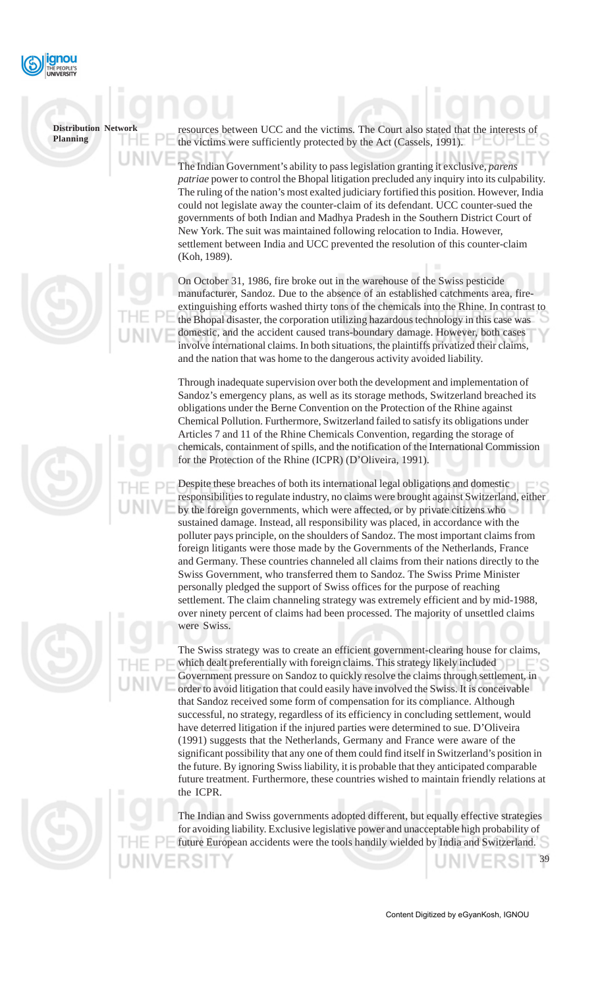

# **Distribution Network**

**Planning**





The Indian Government's ability to pass legislation granting it exclusive, *parens patriae* power to control the Bhopal litigation precluded any inquiry into its culpability. The ruling of the nation's most exalted judiciary fortified this position. However, India could not legislate away the counter-claim of its defendant. UCC counter-sued the governments of both Indian and Madhya Pradesh in the Southern District Court of New York. The suit was maintained following relocation to India. However, settlement between India and UCC prevented the resolution of this counter-claim (Koh, 1989).

On October 31, 1986, fire broke out in the warehouse of the Swiss pesticide manufacturer, Sandoz. Due to the absence of an established catchments area, fireextinguishing efforts washed thirty tons of the chemicals into the Rhine. In contrast to the Bhopal disaster, the corporation utilizing hazardous technology in this case was domestic, and the accident caused trans-boundary damage. However, both cases involve international claims. In both situations, the plaintiffs privatized their claims, and the nation that was home to the dangerous activity avoided liability.

Through inadequate supervision over both the development and implementation of Sandoz's emergency plans, as well as its storage methods, Switzerland breached its obligations under the Berne Convention on the Protection of the Rhine against Chemical Pollution. Furthermore, Switzerland failed to satisfy its obligations under Articles 7 and 11 of the Rhine Chemicals Convention, regarding the storage of chemicals, containment of spills, and the notification of the International Commission for the Protection of the Rhine (ICPR) (D'Oliveira, 1991).

Despite these breaches of both its international legal obligations and domestic responsibilities to regulate industry, no claims were brought against Switzerland, either by the foreign governments, which were affected, or by private citizens who sustained damage. Instead, all responsibility was placed, in accordance with the polluter pays principle, on the shoulders of Sandoz. The most important claims from foreign litigants were those made by the Governments of the Netherlands, France and Germany. These countries channeled all claims from their nations directly to the Swiss Government, who transferred them to Sandoz. The Swiss Prime Minister personally pledged the support of Swiss offices for the purpose of reaching settlement. The claim channeling strategy was extremely efficient and by mid-1988, over ninety percent of claims had been processed. The majority of unsettled claims were Swiss.

The Swiss strategy was to create an efficient government-clearing house for claims, which dealt preferentially with foreign claims. This strategy likely included  $\Box$ Government pressure on Sandoz to quickly resolve the claims through settlement, in order to avoid litigation that could easily have involved the Swiss. It is conceivable that Sandoz received some form of compensation for its compliance. Although successful, no strategy, regardless of its efficiency in concluding settlement, would have deterred litigation if the injured parties were determined to sue. D'Oliveira (1991) suggests that the Netherlands, Germany and France were aware of the significant possibility that any one of them could find itself in Switzerland's position in the future. By ignoring Swiss liability, it is probable that they anticipated comparable future treatment. Furthermore, these countries wished to maintain friendly relations at the ICPR.

The Indian and Swiss governments adopted different, but equally effective strategies for avoiding liability. Exclusive legislative power and unacceptable high probability of future European accidents were the tools handily wielded by India and Switzerland.

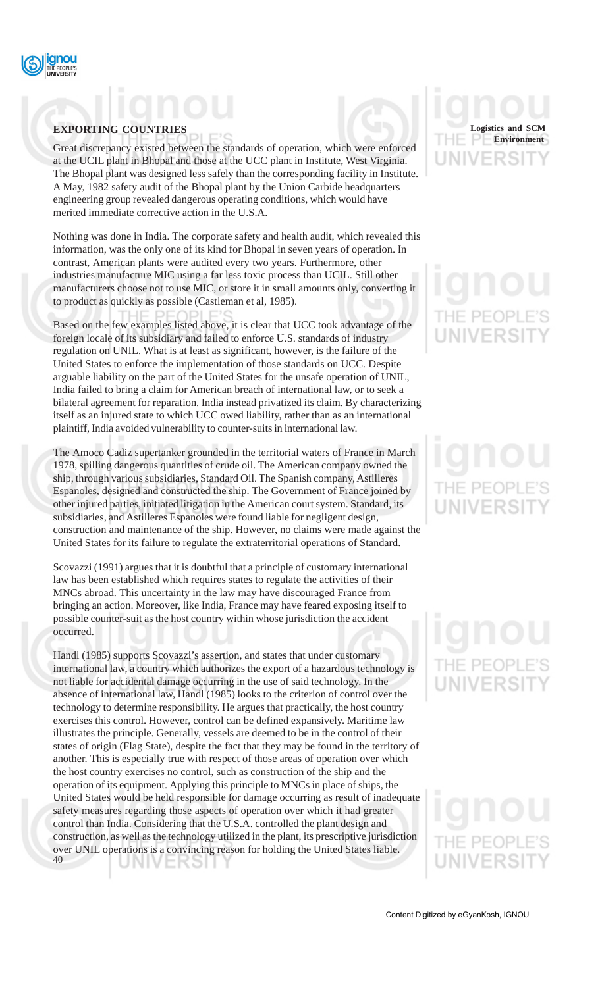

### **EXPORTING COUNTRIES**

Great discrepancy existed between the standards of operation, which were enforced at the UCIL plant in Bhopal and those at the UCC plant in Institute, West Virginia. The Bhopal plant was designed less safely than the corresponding facility in Institute. A May, 1982 safety audit of the Bhopal plant by the Union Carbide headquarters engineering group revealed dangerous operating conditions, which would have merited immediate corrective action in the U.S.A.

Nothing was done in India. The corporate safety and health audit, which revealed this information, was the only one of its kind for Bhopal in seven years of operation. In contrast, American plants were audited every two years. Furthermore, other industries manufacture MIC using a far less toxic process than UCIL. Still other manufacturers choose not to use MIC, or store it in small amounts only, converting it to product as quickly as possible (Castleman et al, 1985).

Based on the few examples listed above, it is clear that UCC took advantage of the foreign locale of its subsidiary and failed to enforce U.S. standards of industry regulation on UNIL. What is at least as significant, however, is the failure of the United States to enforce the implementation of those standards on UCC. Despite arguable liability on the part of the United States for the unsafe operation of UNIL, India failed to bring a claim for American breach of international law, or to seek a bilateral agreement for reparation. India instead privatized its claim. By characterizing itself as an injured state to which UCC owed liability, rather than as an international plaintiff, India avoided vulnerability to counter-suits in international law.

The Amoco Cadiz supertanker grounded in the territorial waters of France in March 1978, spilling dangerous quantities of crude oil. The American company owned the ship, through various subsidiaries, Standard Oil. The Spanish company, Astilleres Espanoles, designed and constructed the ship. The Government of France joined by other injured parties, initiated litigation in the American court system. Standard, its subsidiaries, and Astilleres Espanoles were found liable for negligent design, construction and maintenance of the ship. However, no claims were made against the United States for its failure to regulate the extraterritorial operations of Standard.

Scovazzi (1991) argues that it is doubtful that a principle of customary international law has been established which requires states to regulate the activities of their MNCs abroad. This uncertainty in the law may have discouraged France from bringing an action. Moreover, like India, France may have feared exposing itself to possible counter-suit as the host country within whose jurisdiction the accident occurred.

Handl (1985) supports Scovazzi's assertion, and states that under customary international law, a country which authorizes the export of a hazardous technology is not liable for accidental damage occurring in the use of said technology. In the absence of international law, Handl (1985) looks to the criterion of control over the technology to determine responsibility. He argues that practically, the host country exercises this control. However, control can be defined expansively. Maritime law illustrates the principle. Generally, vessels are deemed to be in the control of their states of origin (Flag State), despite the fact that they may be found in the territory of another. This is especially true with respect of those areas of operation over which the host country exercises no control, such as construction of the ship and the operation of its equipment. Applying this principle to MNCs in place of ships, the United States would be held responsible for damage occurring as result of inadequate safety measures regarding those aspects of operation over which it had greater control than India. Considering that the U.S.A. controlled the plant design and construction, as well as the technology utilized in the plant, its prescriptive jurisdiction over UNIL operations is a convincing reason for holding the United States liable. 40 UNIVERƏH



# HE PEOPLE'S UNIVERSIT

# HE PEOP NIVER

# IE PEOP

# **IIVERSIT**

Content Digitized by eGyanKosh, IGNOU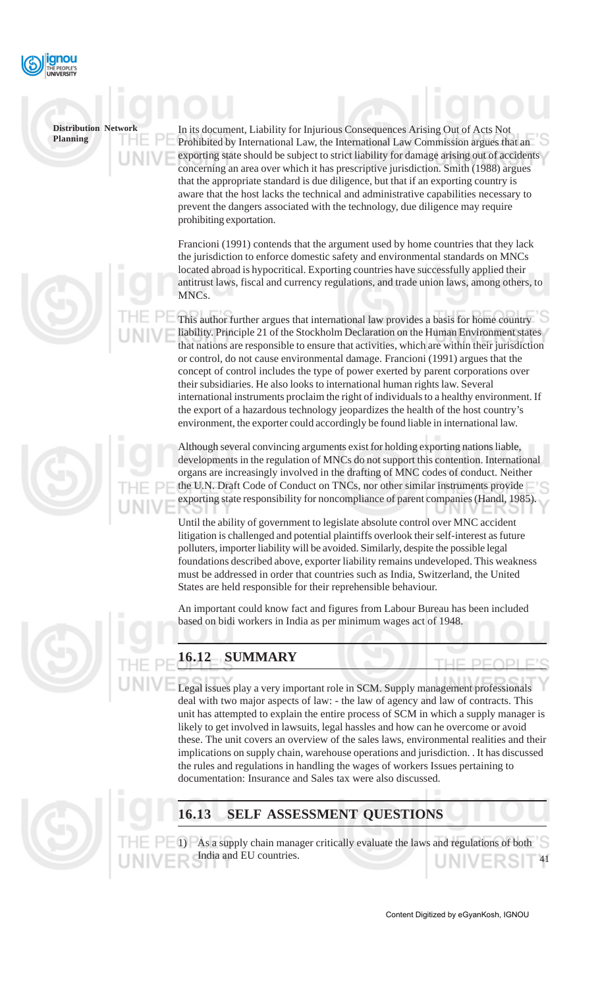

In its document, Liability for Injurious Consequences Arising Out of Acts Not Prohibited by International Law, the International Law Commission argues that an exporting state should be subject to strict liability for damage arising out of accidents concerning an area over which it has prescriptive jurisdiction. Smith (1988) argues that the appropriate standard is due diligence, but that if an exporting country is aware that the host lacks the technical and administrative capabilities necessary to prevent the dangers associated with the technology, due diligence may require prohibiting exportation.

Francioni (1991) contends that the argument used by home countries that they lack the jurisdiction to enforce domestic safety and environmental standards on MNCs located abroad is hypocritical. Exporting countries have successfully applied their antitrust laws, fiscal and currency regulations, and trade union laws, among others, to MNCs.

This author further argues that international law provides a basis for home country liability. Principle 21 of the Stockholm Declaration on the Human Environment states that nations are responsible to ensure that activities, which are within their jurisdiction or control, do not cause environmental damage. Francioni (1991) argues that the concept of control includes the type of power exerted by parent corporations over their subsidiaries. He also looks to international human rights law. Several international instruments proclaim the right of individuals to a healthy environment. If the export of a hazardous technology jeopardizes the health of the host country's environment, the exporter could accordingly be found liable in international law.

Although several convincing arguments exist for holding exporting nations liable, developments in the regulation of MNCs do not support this contention. International organs are increasingly involved in the drafting of MNC codes of conduct. Neither the U.N. Draft Code of Conduct on TNCs, nor other similar instruments provide exporting state responsibility for noncompliance of parent companies (Handl, 1985).

Until the ability of government to legislate absolute control over MNC accident litigation is challenged and potential plaintiffs overlook their self-interest as future polluters, importer liability will be avoided. Similarly, despite the possible legal foundations described above, exporter liability remains undeveloped. This weakness must be addressed in order that countries such as India, Switzerland, the United States are held responsible for their reprehensible behaviour.

An important could know fact and figures from Labour Bureau has been included based on bidi workers in India as per minimum wages act of 1948.



# **16.12 SUMMARY**

Legal issues play a very important role in SCM. Supply management professionals deal with two major aspects of law: - the law of agency and law of contracts. This unit has attempted to explain the entire process of SCM in which a supply manager is likely to get involved in lawsuits, legal hassles and how can he overcome or avoid these. The unit covers an overview of the sales laws, environmental realities and their implications on supply chain, warehouse operations and jurisdiction. . It has discussed the rules and regulations in handling the wages of workers Issues pertaining to documentation: Insurance and Sales tax were also discussed.



# **16.13 SELF ASSESSMENT QUESTIONS**

41 1) As a supply chain manager critically evaluate the laws and regulations of both India and EU countries.